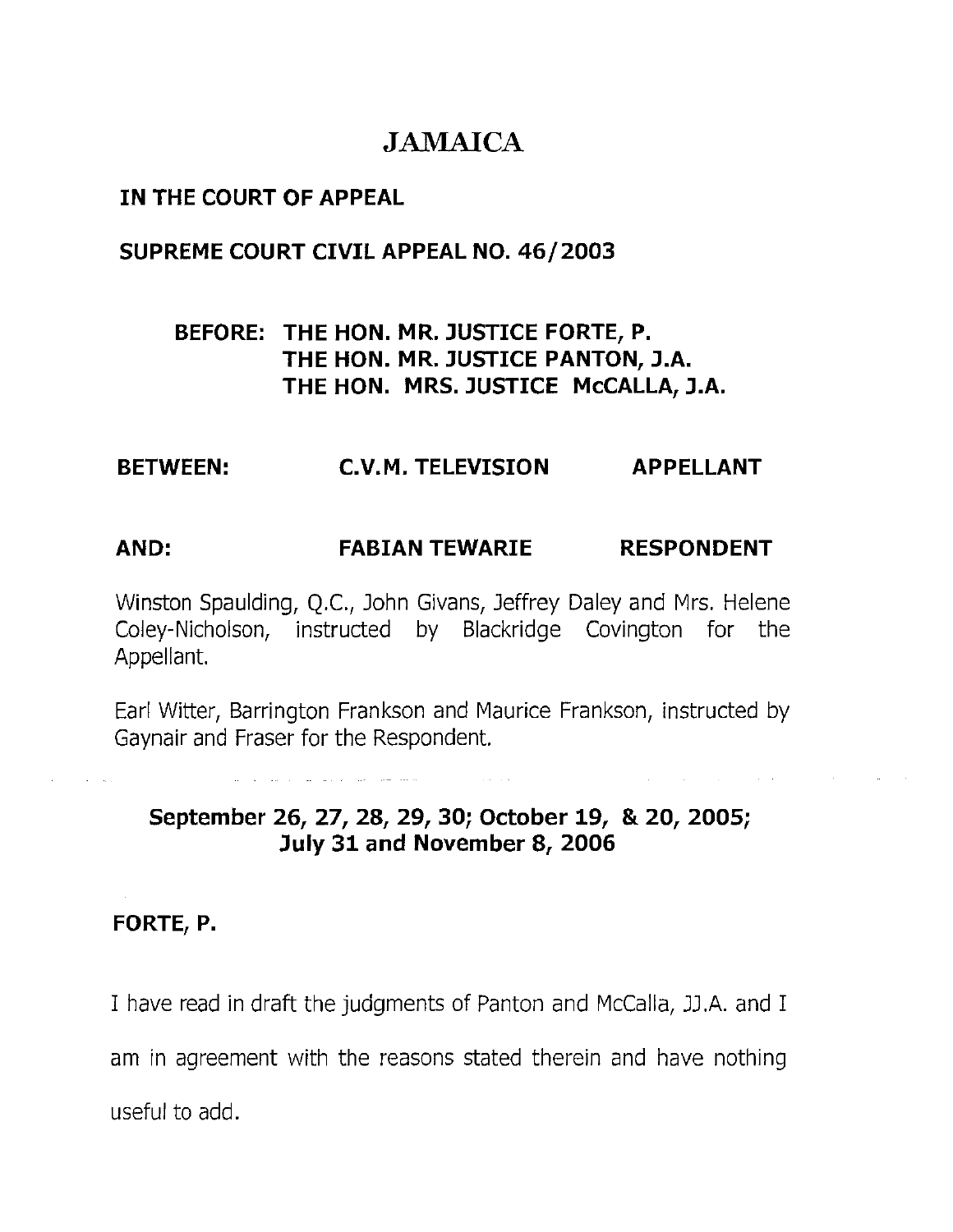# **JAMAICA**

## IN THE COURT OF APPEAL

## SUPREME COURT CIVIL APPEAL NO. 46/2003

# BEFORE: THE HON. MR. JUSTICE FORTE, P. THE HON. MR. JUSTICE PANTON, J.A. THE HON. MRS. JUSTICE McCALLA, J.A.

## BETWEEN: C.V.M. TELEVISION APPELLANT

## AND: FABIAN TEWARIE RESPONDENT

Winston Spaulding, Q.C., John Givans, Jeffrey Daley and Mrs. Helene Coley-Nicholson, instructed by Blackridge Covington for the Appellant.

Earl Witter, Barrington Frankson and Maurice Frankson, instructed by Gaynair and Fraser for the Respondent

## September 26, 27, 28, 29, 30; October 19, & 20, 2005; July 31 and November 8, 2006

### FORTE, P.

I have read in draft the judgments of Panton and McCalla, JJ.A. and I

am in agreement with the reasons stated therein and have nothing

useful to add.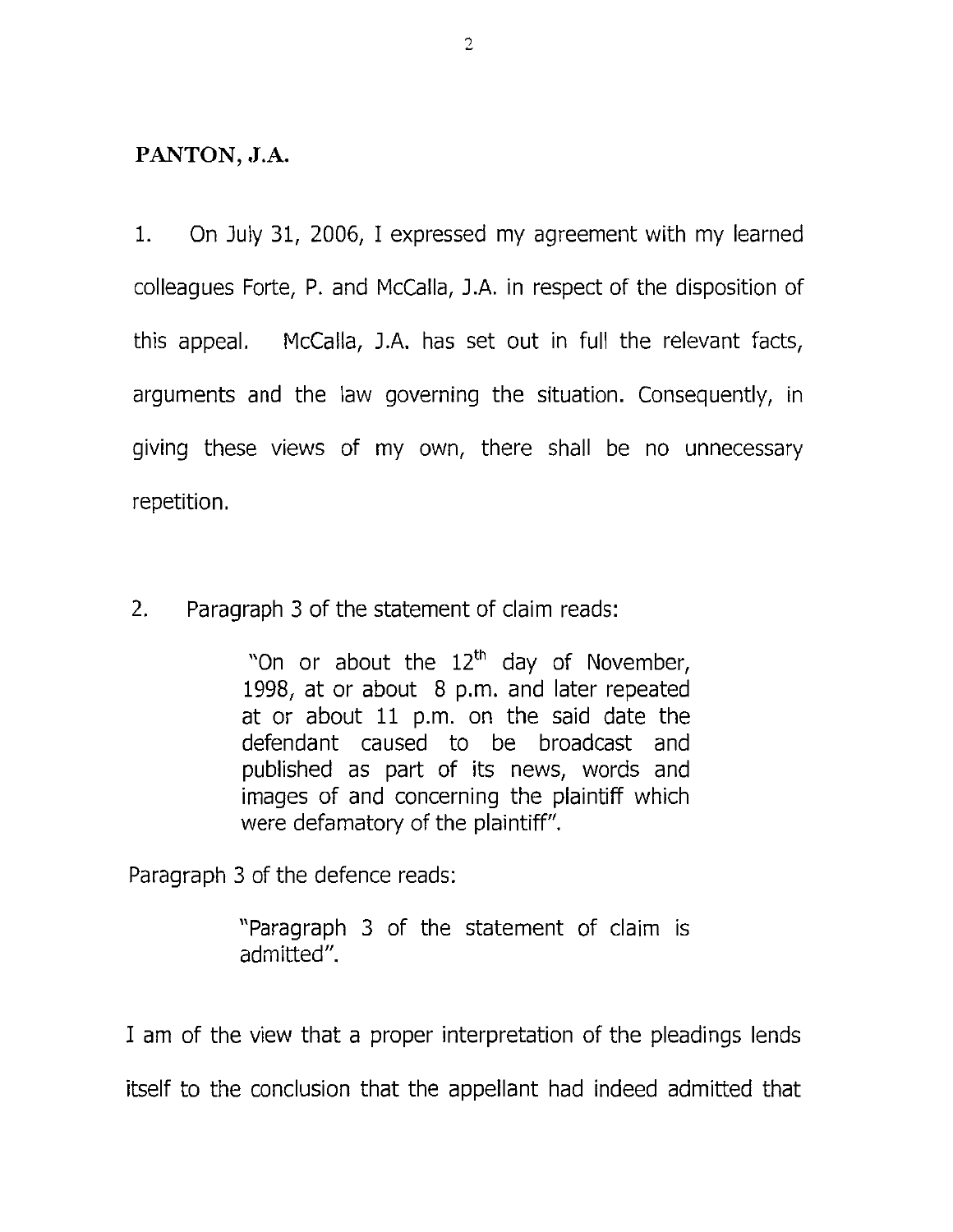### **PANTON, J.A.**

1. On July 31, 2006, I expressed my agreement with my learned colleagues Forte, P. and McCalla, J.A. in respect of the disposition of this appeal. McCalla, J.A. has set out in full the relevant facts, arguments and the law governing the situation. Consequently, in giving these views of my own, there shall be no unnecessary repetition.

2. Paragraph 3 of the statement of claim reads:

"On or about the 12<sup>th</sup> day of November, 1998, at or about 8 p.m. and later repeated at or about 11 p.m. on the said date the defendant caused to be broadcast and published as part of its news, words and images of and concerning the plaintiff which were defamatory of the plaintiff".

Paragraph 3 of the defence reads:

"Paragraph 3 of the statement of claim is admitted".

I am of the view that a proper interpretation of the pleadings lends

itself to the conclusion that the appellant had indeed admitted that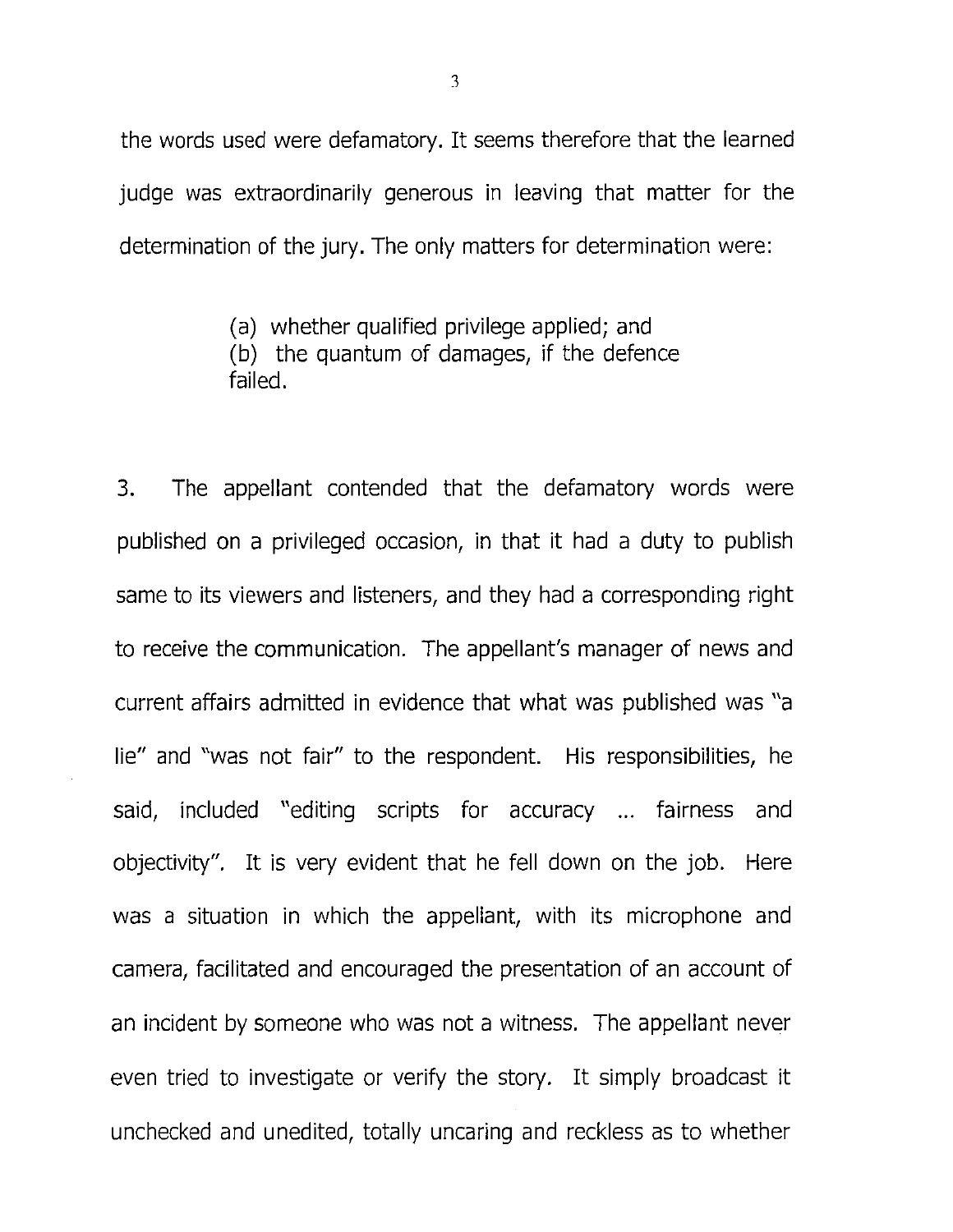the words used were defamatory. It seems therefore that the learned judge was extraordinarily generous in leaving that matter for the determination of the jury. The only matters for determination were:

> (a) whether qualified privilege applied; and (b) the quantum of damages, if the defence failed.

3. The appellant contended that the defamatory words were published on a privileged occasion, in that it had a duty to publish same to its viewers and listeners, and they had a corresponding right to receive the communication. The appellant's manager of news and current affairs admitted in evidence that what was published was "a lie" and "was not fair" to the respondent. His responsibilities, he said, included "editing scripts for accuracy ... fairness and objectivity". It is very evident that he fell down on the job. Here was a situation in which the appellant, with its microphone and camera, facilitated and encouraged the presentation of an account of an incident by someone who was not a witness. The appellant never even tried to investigate or verify the story. It simply broadcast it unchecked and unedited, totally uncaring and reckless as to whether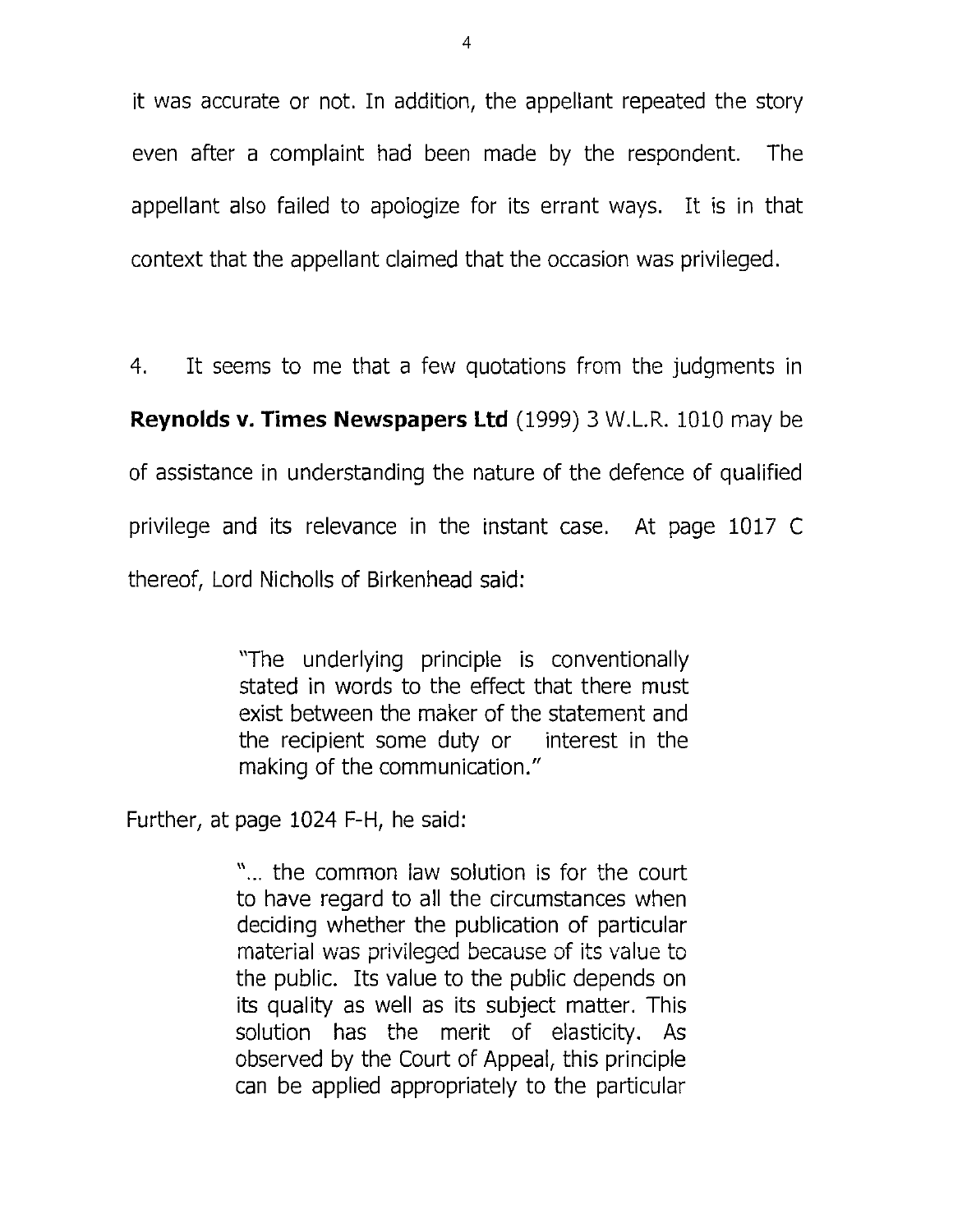it was accurate or not. In addition, the appellant repeated the story even after a complaint had been made by the respondent. The appellant also failed to apologize for its errant ways. It is in that context that the appellant claimed that the occasion was privileged.

4. It seems to me that a few quotations from the judgments in Reynolds v. Times Newspapers Ltd (1999) 3 W.L.R. 1010 may be of assistance in understanding the nature of the defence of qualified privilege and its relevance in the instant case. At page 1017 C thereof, Lord Nicholls of Birkenhead said:

> "The underlying principle is conventionally stated in words to the effect that there must exist between the maker of the statement and the recipient some duty or interest in the making of the communication."

Further, at page 1024 F-H, he said:

"... the common law solution is for the court to have regard to all the circumstances when deciding whether the publication of particular material was privileged because of its value to the public. Its value to the public depends on its quality as well as its subject matter. This solution has the merit of elasticity. As observed by the Court of Appeal, this principle can be applied appropriately to the particular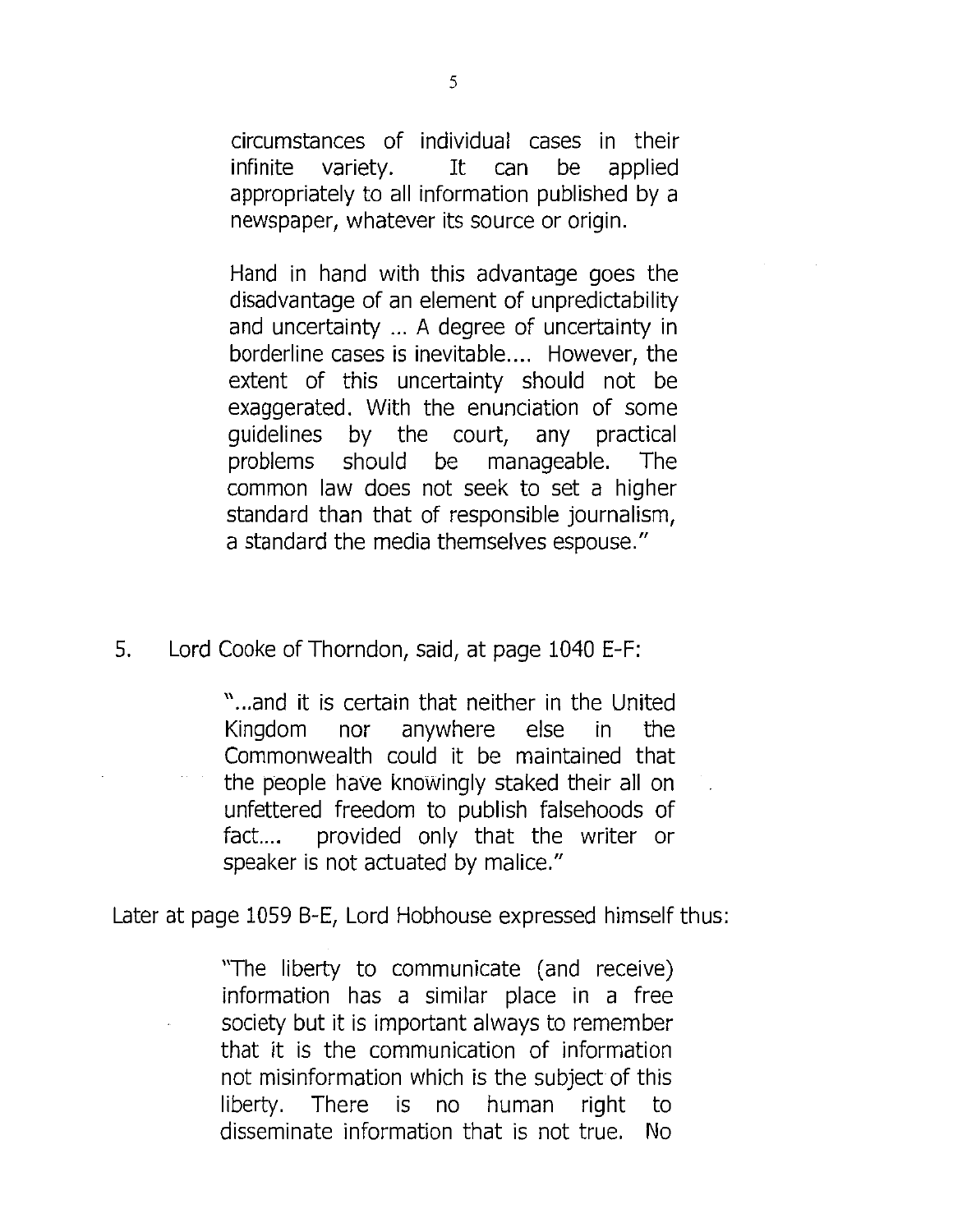circumstances of individual cases in their infinite variety. It can be applied appropriately to all information published by a newspaper, whatever its source or origin.

Hand in hand with this advantage goes the disadvantage of an element of unpredictability and uncertainty ... A degree of uncertainty in borderline cases is inevitable.... However, the extent of this uncertainty should not be exaggerated. With the enunciation of some guidelines by the court, any practical problems should be manageable. The common law does not seek to set a higher standard than that of responsible journalism, a standard the media themselves espouse."

5. Lord Cooke of Thorndon, said, at page 1040 E-F:

"...and it is certain that neither in the United Kingdom nor anywhere else in the Commonwealth could it be maintained that the people have knowingly staked their all on unfettered freedom to publish falsehoods of fact.... provided only that the writer or speaker is not actuated by malice."

Later at page 1059 B-E, Lord Hobhouse expressed himself thus:

"The liberty to communicate (and receive) information has a similar place in a free society but it is important always to remember that it is the communication of information not misinformation which is the subject of this liberty. There is no human right to disseminate information that is not true. No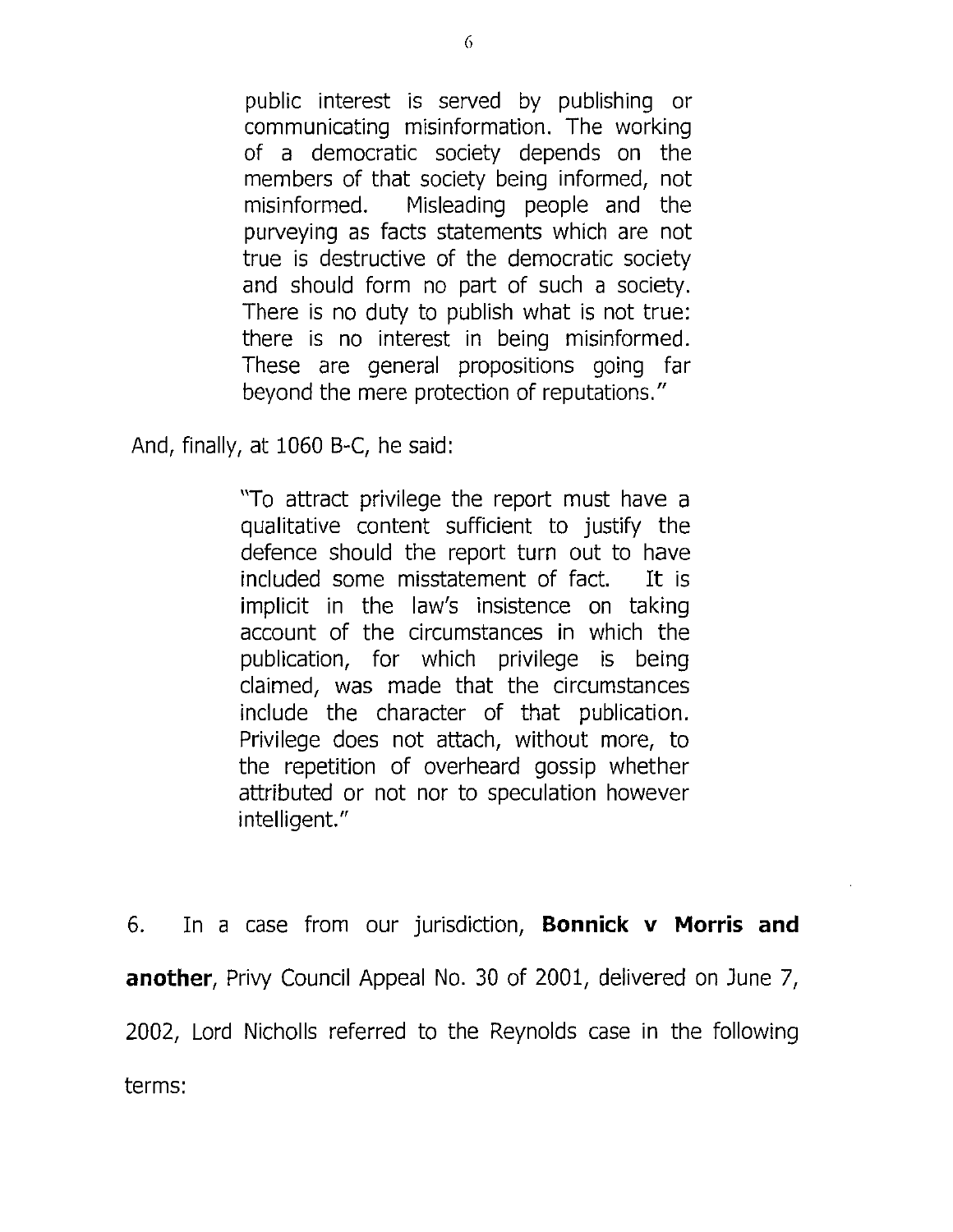public interest is served by publishing or communicating misinformation. The working of a democratic society depends on the members of that society being informed, not misinformed. Misleading people and the purveying as facts statements which are not true is destructive of the democratic society and should form no part of such a society. There is no duty to publish what is not true: there is no interest in being misinformed. These are general propositions going far beyond the mere protection of reputations."

And, finally, at 1060 B-C, he said:

"To attract privilege the report must have a qualitative content sufficient to justify the defence should the report turn out to have included some misstatement of fact. It is implicit in the law's insistence on taking account of the circumstances in which the publication, for which privilege is being claimed, was made that the circumstances include the character of that publication. Privilege does not attach, without more, to the repetition of overheard gossip whether attributed or not nor to speculation however intelligent."

6. In a case from our jurisdiction, Bonnick v Morris and another, Privy Council Appeal No. 30 of 2001, delivered on June 7, 2002, Lord Nicholls referred to the Reynolds case in the following terms: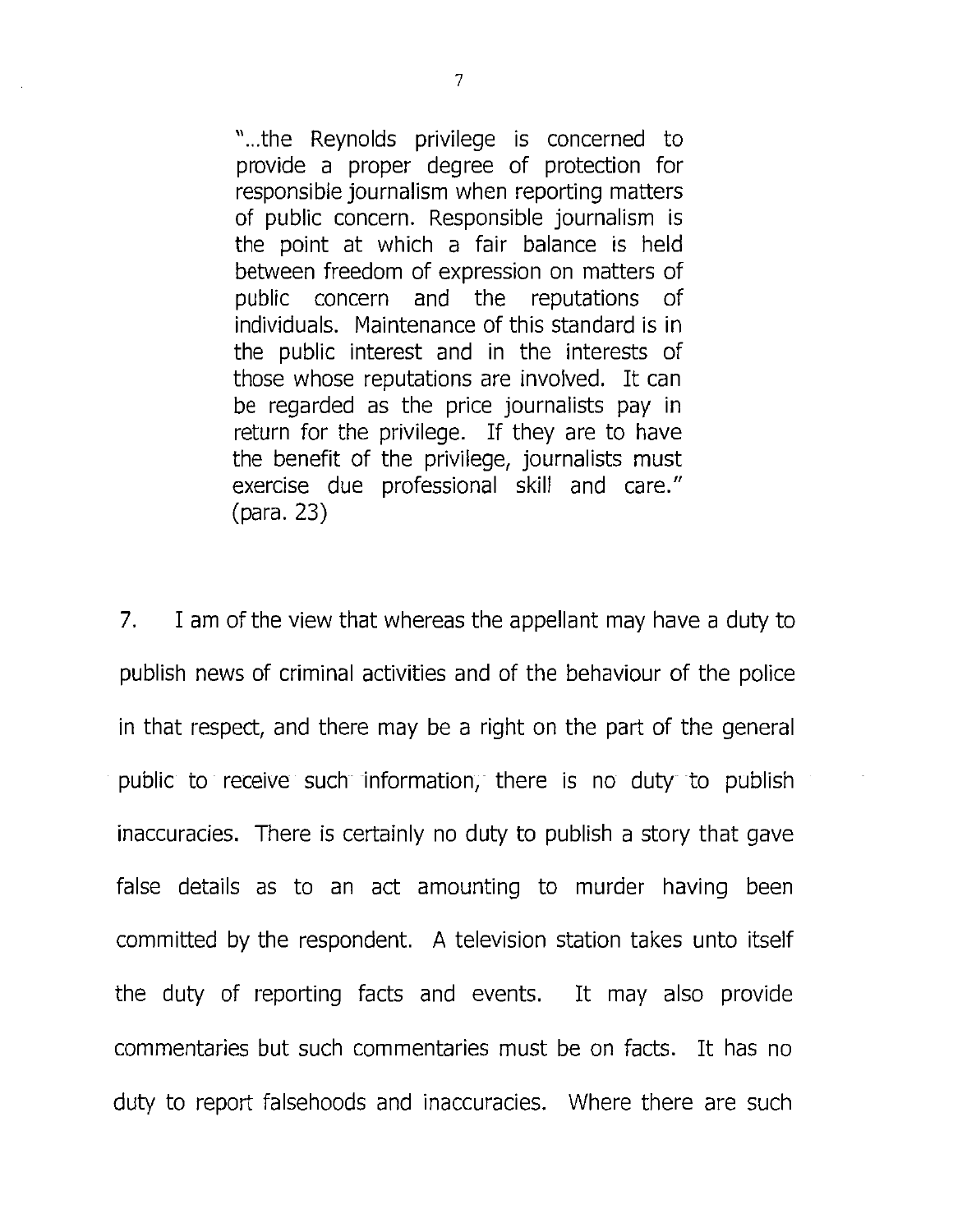"...the Reynolds privilege is concerned to provide a proper degree of protection for responsible journalism when reporting matters of public concern. Responsible journalism is the point at which a fair balance is held between freedom of expression on matters of public concern and the reputations of individuals. Maintenance of this standard is in the public interest and in the interests of those whose reputations are involved. It can be regarded as the price journalists pay in return for the privilege. If they are to have the benefit of the privilege, journalists must exercise due professional skill and care." (para. 23)

7. I am of the view that whereas the appellant may have a duty to publish news of criminal activities and of the behaviour of the police in that respect, and there may be a right on the part of the general public to receive such information, there is no duty to publish inaccuracies. There is certainly no duty to publish a story that gave false details as to an act amounting to murder having been committed by the respondent. A television station takes unto itself the duty of reporting facts and events. It may also provide commentaries but such commentaries must be on facts. It has no duty to report falsehoods and inaccuracies. Where there are such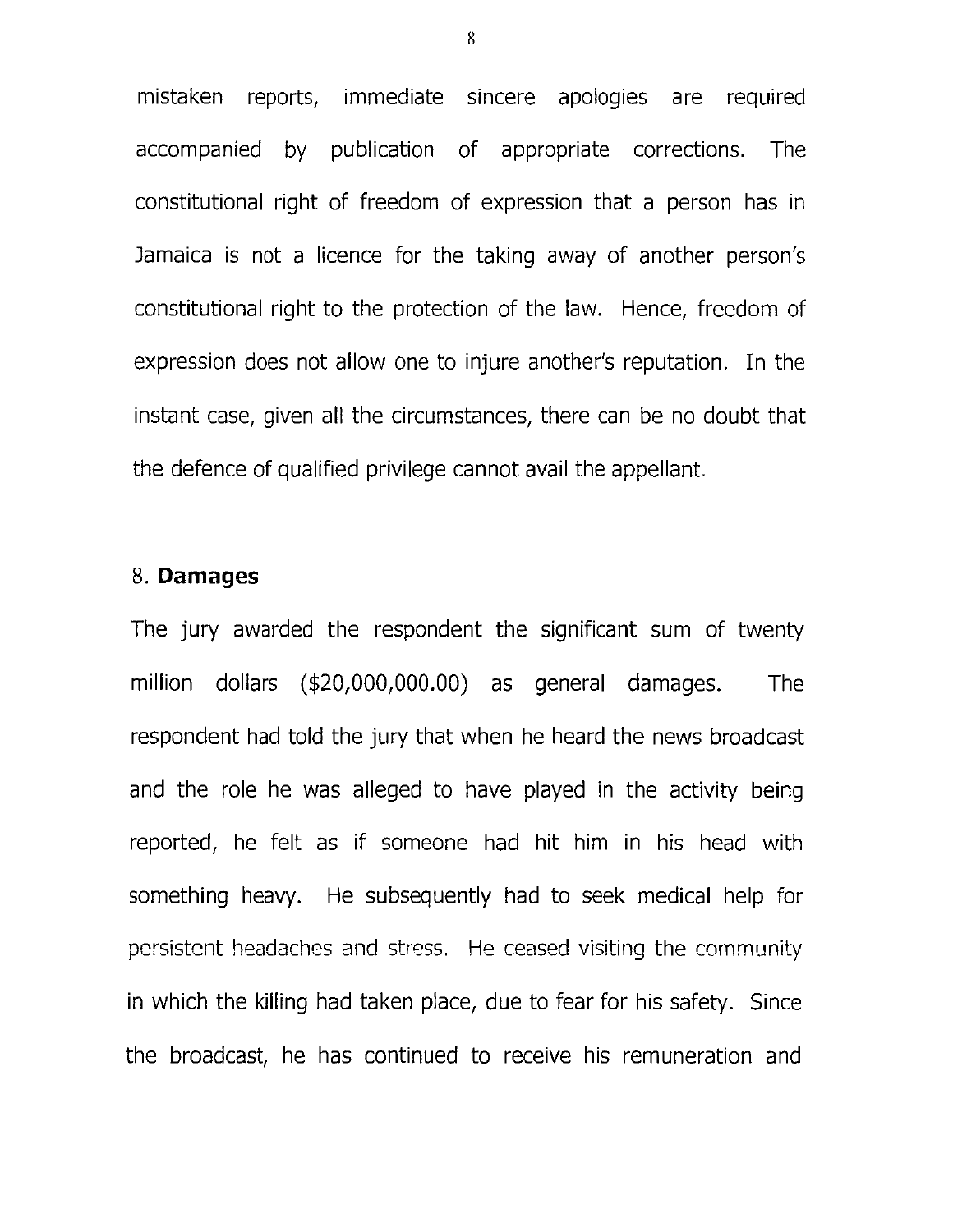mistaken reports, immediate sincere apologies are required accompanied by publication of appropriate corrections. The constitutional right of freedom of expression that a person has in Jamaica is not a licence for the taking away of another person's constitutional right to the protection of the law. Hence, freedom of expression does not allow one to injure another's reputation. In the instant case, given all the circumstances, there can be no doubt that the defence of qualified privilege cannot avail the appellant.

#### 8. Damages

The jury awarded the respondent the significant sum of twenty million dollars (\$20,000,000.00) as general damages. The respondent had told the jury that when he heard the news broadcast and the role he was alleged to have played in the activity being reported, he felt as if someone had hit him in his head with something heavy. He subsequently had to seek medical help for persistent headaches and stress. He ceased visiting the community in which the killing had taken place, due to fear for his safety. Since the broadcast, he has continued to receive his remuneration and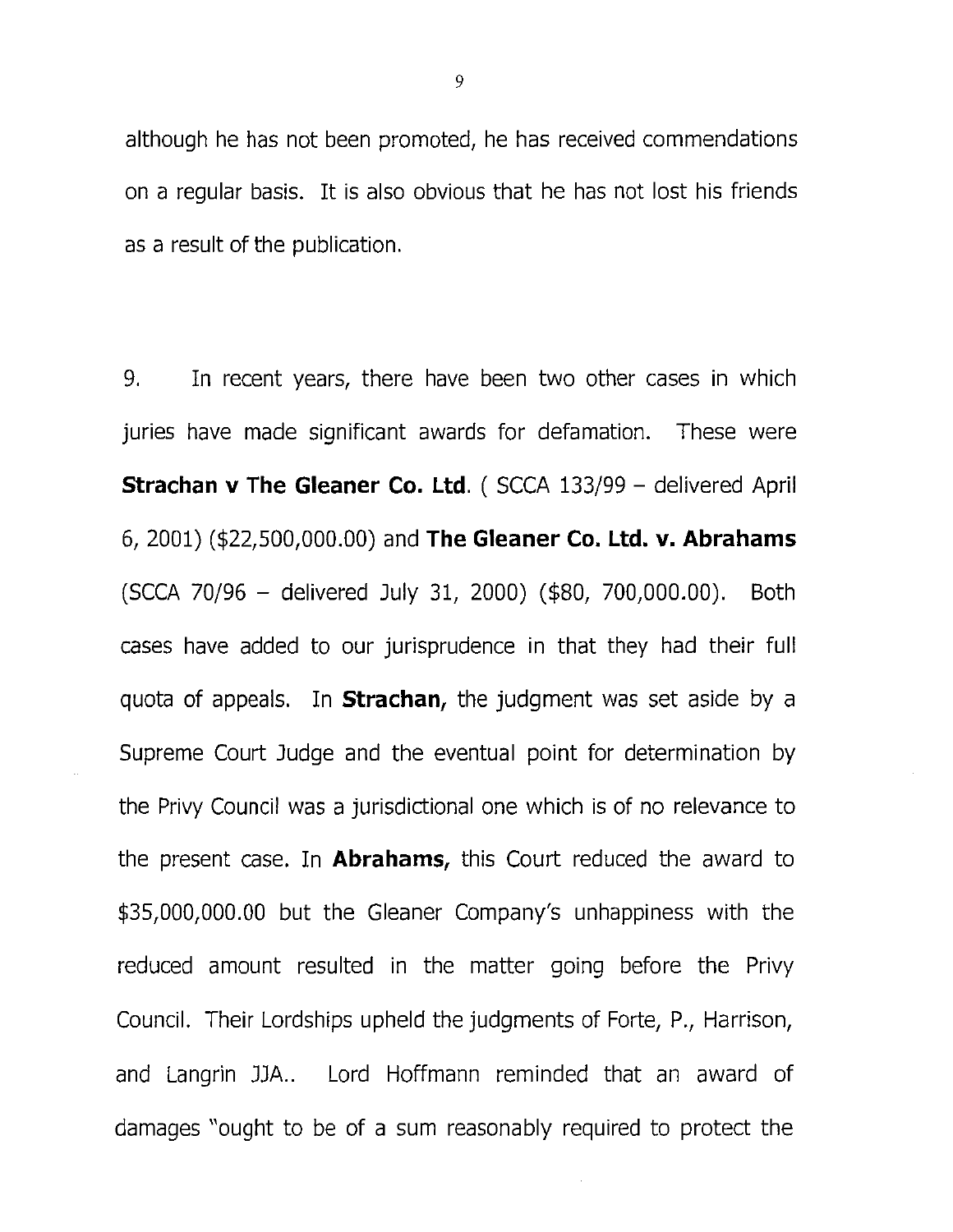although he has not been promoted, he has received commendations on a regular basis. It is also obvious that he has not lost his friends as a result of the publication.

9. In recent years, there have been two other cases in which juries have made significant awards for defamation. These were Strachan v The Gleaner Co. Ltd. (SCCA 133/99 - delivered April 6, 2001) (\$22,500,000.00) and The Gleaner Co. Ltd. v. Abrahams (SCCA 70/96 - delivered July 31, 2000) (\$80, 700,000.00). Both cases have added to our jurisprudence in that they had their full quota of appeals. In **Strachan**, the judgment was set aside by a Supreme Court Judge and the eventual point for determination by the Privy Council was a jurisdictional one which is of no relevance to the present case. In **Abrahams**, this Court reduced the award to \$35,000,000.00 but the Gleaner Company's unhappiness with the reduced amount resulted in the matter going before the Privy Council. Their Lordships upheld the judgments of Forte, P., Harrison, and Langrin JJA.. Lord Hoffmann reminded that an award of damages "ought to be of a sum reasonably required to protect the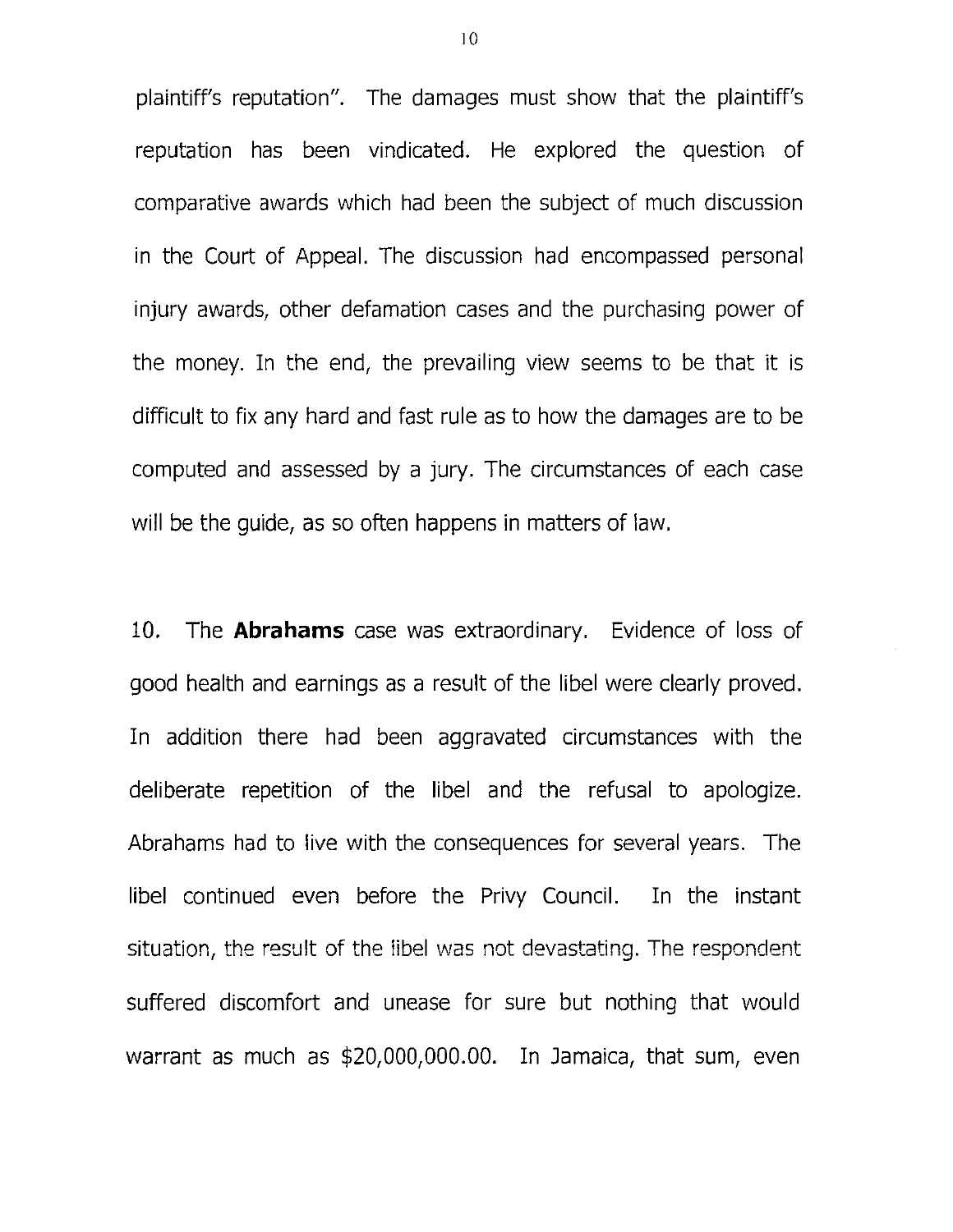plaintiff's reputation". The damages must show that the plaintiff's reputation has been vindicated. He explored the question of comparative awards which had been the subject of much discussion in the Court of Appeal. The discussion had encompassed personal injury awards, other defamation cases and the purchasing power of the money. In the end, the prevailing view seems to be that it is difficult to fix any hard and fast rule as to how the damages are to be computed and assessed by a jury. The circumstances of each case will be the guide, as so often happens in matters of law.

10. The **Abrahams** case was extraordinary. Evidence of loss of good health and earnings as a result of the libel were clearly proved. In addition there had been aggravated circumstances with the deliberate repetition of the libel and the refusal to apologize. Abrahams had to live with the consequences for several years. The libel continued even before the Privy Council. In the instant situation, the result of the libel was not devastating. The respondent suffered discomfort and unease for sure but nothing that would warrant as much as \$20,000,000.00. In Jamaica, that sum, even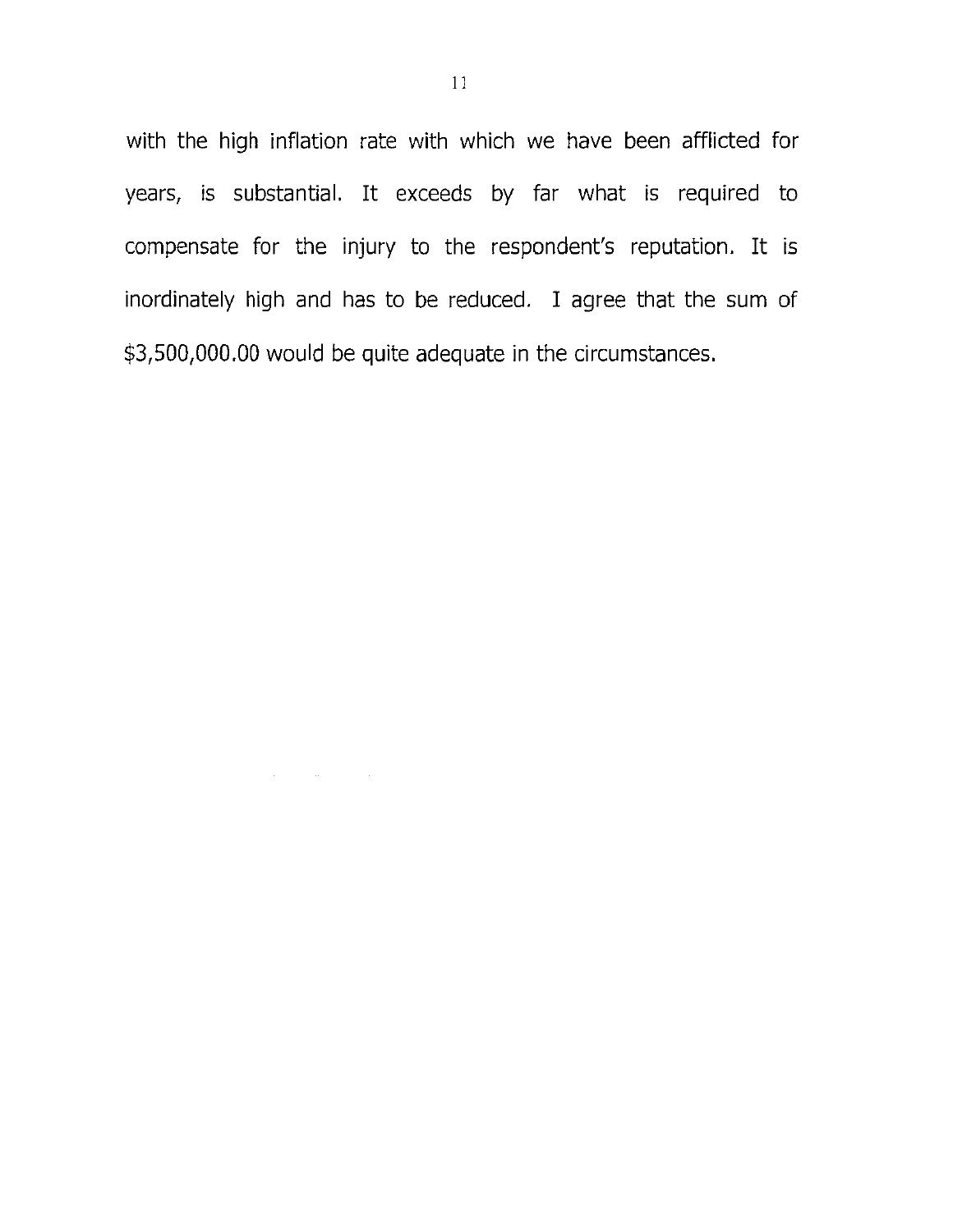with the high inflation rate with which we have been afflicted for years, is substantial. It exceeds by far what is required to compensate for the injury to the respondent's reputation. It is inordinately high and has to be reduced. I agree that the sum of \$3,500,000.00 would be quite adequate in the circumstances.

 $\mathcal{L}(\mathcal{A})$  and  $\mathcal{L}(\mathcal{A})$  and  $\mathcal{L}(\mathcal{A})$  and  $\mathcal{L}(\mathcal{A})$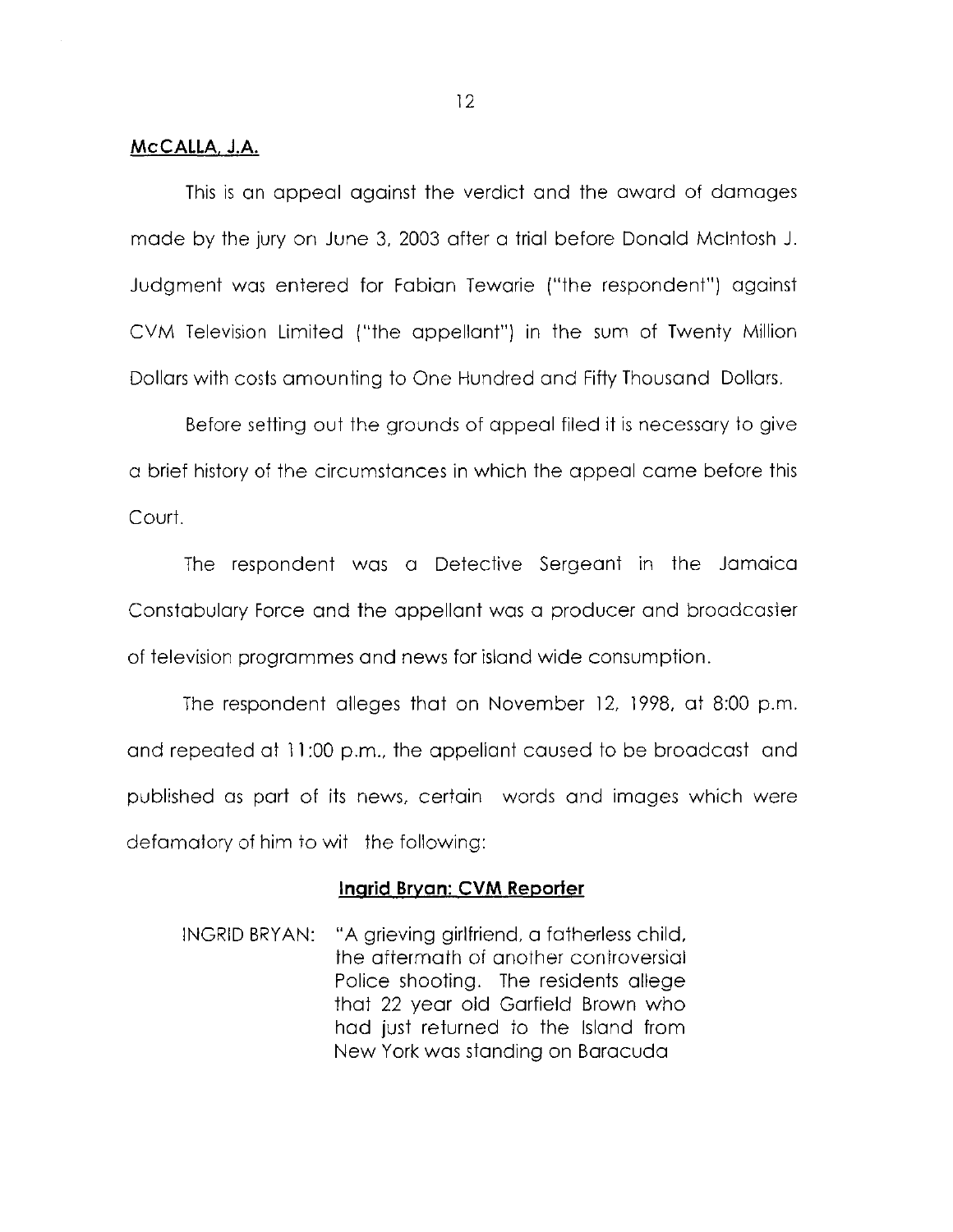#### **McCALLA. J.A.**

This is an appeal against the verdict and the award of damages made by the jury on June 3, 2003 after a trial before Donald Mcintosh J. Judgment was entered for Fabian Tewarie ("the respondent") against CVM Television Limited ("the appellant") in the sum of Twenty Million Dollars with costs amounting to One Hundred and Fifty Thousand Dollars.

Before setting out the grounds of appeal filed it is necessary to give a brief history of the circumstances in which the appeal came before this Court.

The respondent was a Detective Sergeant in the Jamaica Constabulary Force and the appellant was a producer and broadcaster of television programmes and news for island wide consumption.

The respondent alleges that on November 12, 1998, at 8:00 p.m. and repeated at 11:00 p.m., the appellant caused to be broadcast and published as part of its news, certain words and images which were defamatory of him to wit the following:

#### **Inqrid Bryan: CVM Reporter**

INGRID BRYAN: "A grieving girlfriend, a fatherless child, the aftermath of another controversial Police shooting. The residents allege that 22 year old Garfield Brown who had just returned to the Island from New York was standing on Baracuda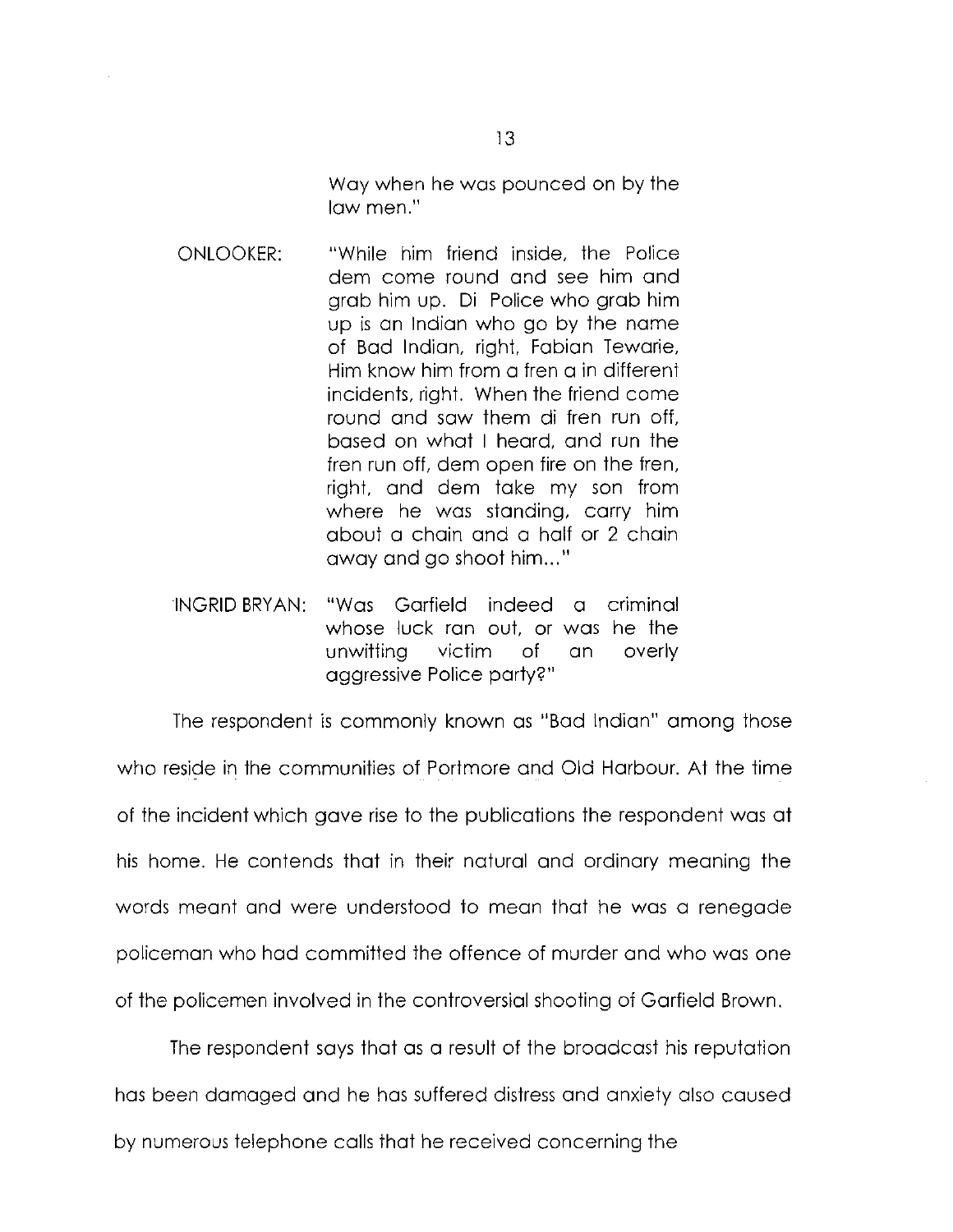Way when he was pounced on by the law men."

- ONLOOKER: "While him friend inside, the Police dem come round and see him and grab him up. Di Police who grab him up is an Indian who go by the name of Bad Indian, right, Fabian Tewarie, Him know him from a fren a in different incidents, right. When the friend come round and saw them di fren run off, based on what I heard, and run the fren run off, dem open fire on the fren, right, and dem take my son from where he was standing, carry him about a chain and a half or 2 chain away and go shoot him..."
- INGRID BRYAN: "Was Garfield indeed a criminal whose luck ran out, or was he the unwitting victim of an overly aggressive Police party?"

The respondent is commonly known as "Bad Indian" among those who reside in the communities of Portmore and Old Harbour. At the time of the incident which gave rise to the publications the respondent was at his home. He contends that in their natural and ordinary meaning the words meant and were understood to mean that he was a renegade policeman who had committed the offence of murder and who was one of the policemen involved in the controversial shooting of Garfield Brown.

The respondent says that as a result of the broadcast his reputation has been damaged and he has suffered distress and anxiety also caused by numerous telephone calls that he received concerning the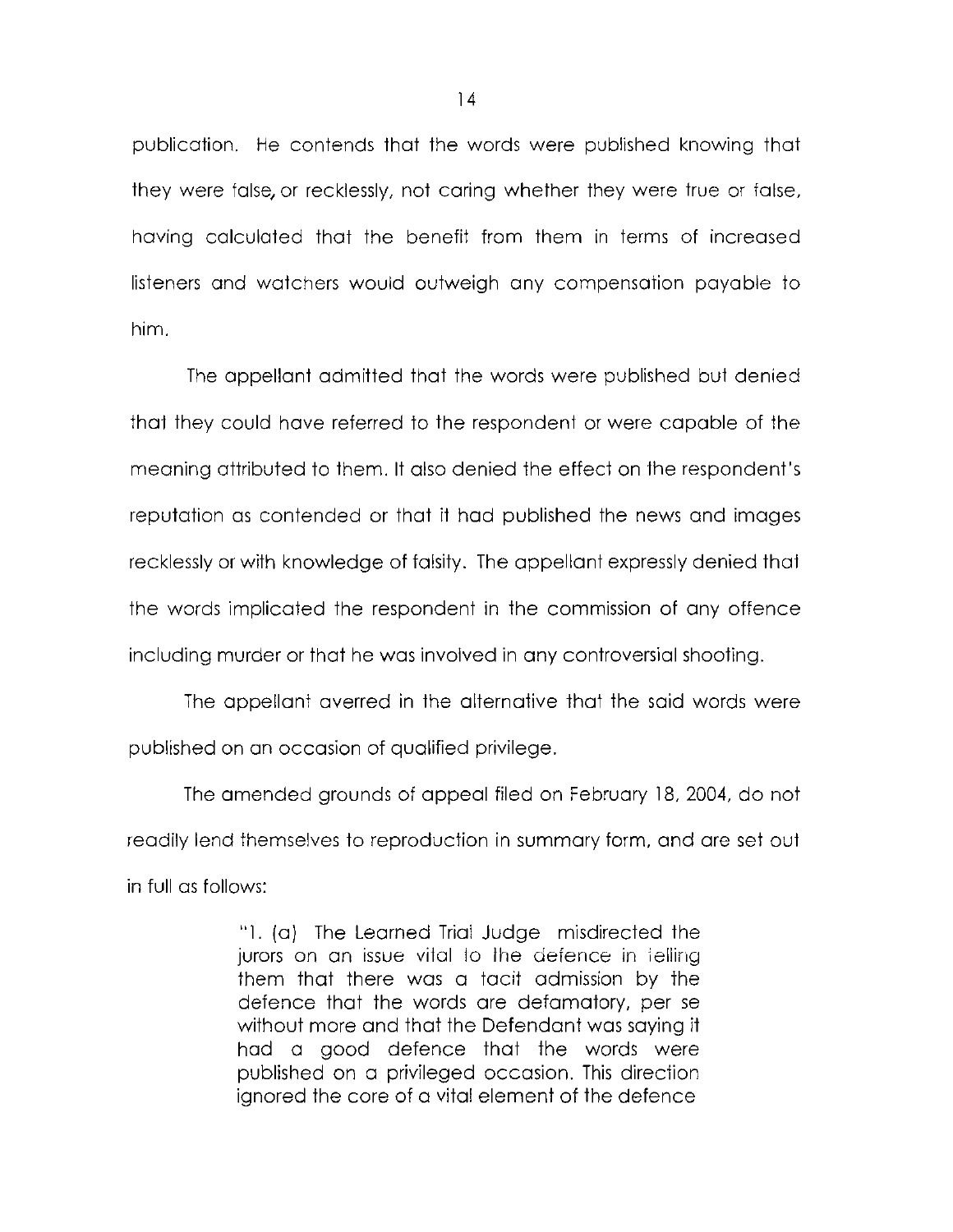publication. He contends that the words were published knowing that they were false, or recklessly, not caring whether they were true or false, having calculated that the benefit from them in terms of increased listeners and watchers would outweigh any compensation payable to him.

The appellant admitted that the words were published but denied that they could have referred to the respondent or were capable of the meaning attributed to them. It also denied the effect on the respondent's reputation as contended or that it had published the news and images recklessly or with knowledge of falsity. The appellant expressly denied that the words implicated the respondent in the commission of any offence including murder or that he was involved in any controversial shooting.

The appellant averred in the alternative that the said words were published on an occasion of qualified privilege.

The amended grounds of appeal filed on February 18, 2004, do not readily lend themselves to reproduction in summary form, and are set out in full as follows:

> "1. (a) The Learned Trial Judge misdirected the jurors on an issue vital to the defence in ieliing them that there was a tacit admission by the defence that the words are defamatory, per se without more and that the Defendant was saying it had a good defence that the words were published on a privileged occasion. This direction ignored the core of a vital element of the defence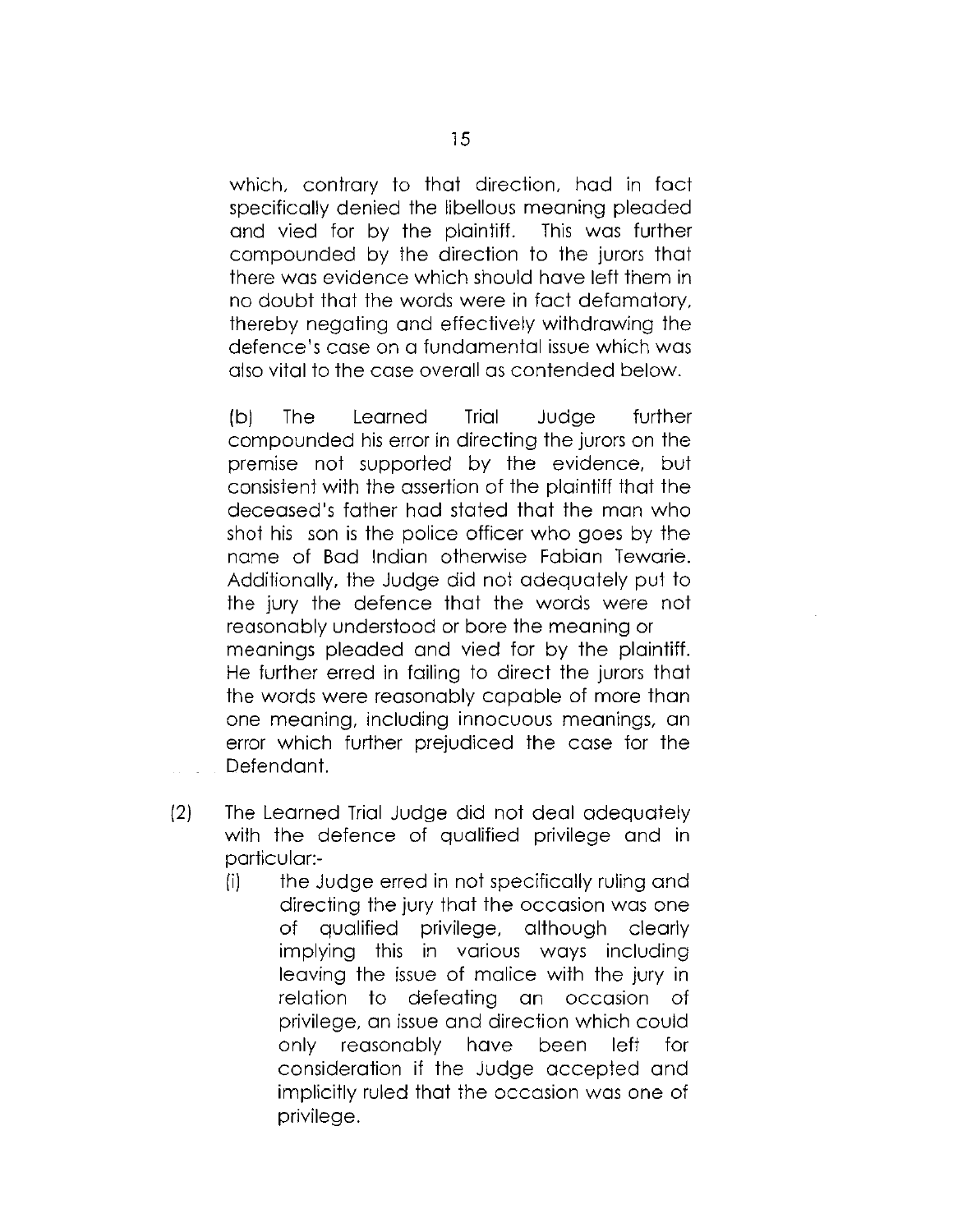which, contrary to that direction, had in fact specifically denied the libellous meaning pleaded and vied for by the plaintiff. This was further compounded by the direction to the jurors that there was evidence which should have left them in no doubt that the words were in fact defamatory, thereby negating and effectively withdrawing the defence's case on a fundamental issue which was also vital to the case overall as contended below.

(b) The Learned Trial Judge further compounded his error in directing the jurors on the premise not supported by the evidence, but consistent with the assertion of the plaintiff that the deceased's father had stated that the man who shot his son is the police officer who goes by the name of Bad Indian otherwise Fabian Tewarie. Additionally, the Judge did not adequately put to the jury the defence that the words were not reasonably understood or bore the meaning or meanings pleaded and vied for by the plaintiff. He further erred in failing to direct the jurors that the words were reasonably capable of more than one meaning, including innocuous meanings, an error which further prejudiced the case for the Defendant.

- (2) The Learned Trial Judge did not deal adequately with the defence of qualified privilege and in particular:-
	- (i) the Judge erred in not specifically ruling and directing the jury that the occasion was one of qualified privilege, although clearly implying this in various ways including leaving the issue of malice with the jury in relation to defeating an occasion of privilege, an issue and direction which could only reasonably have been left for consideration if the Judge accepted and implicitly ruled that the occasion was one of privilege.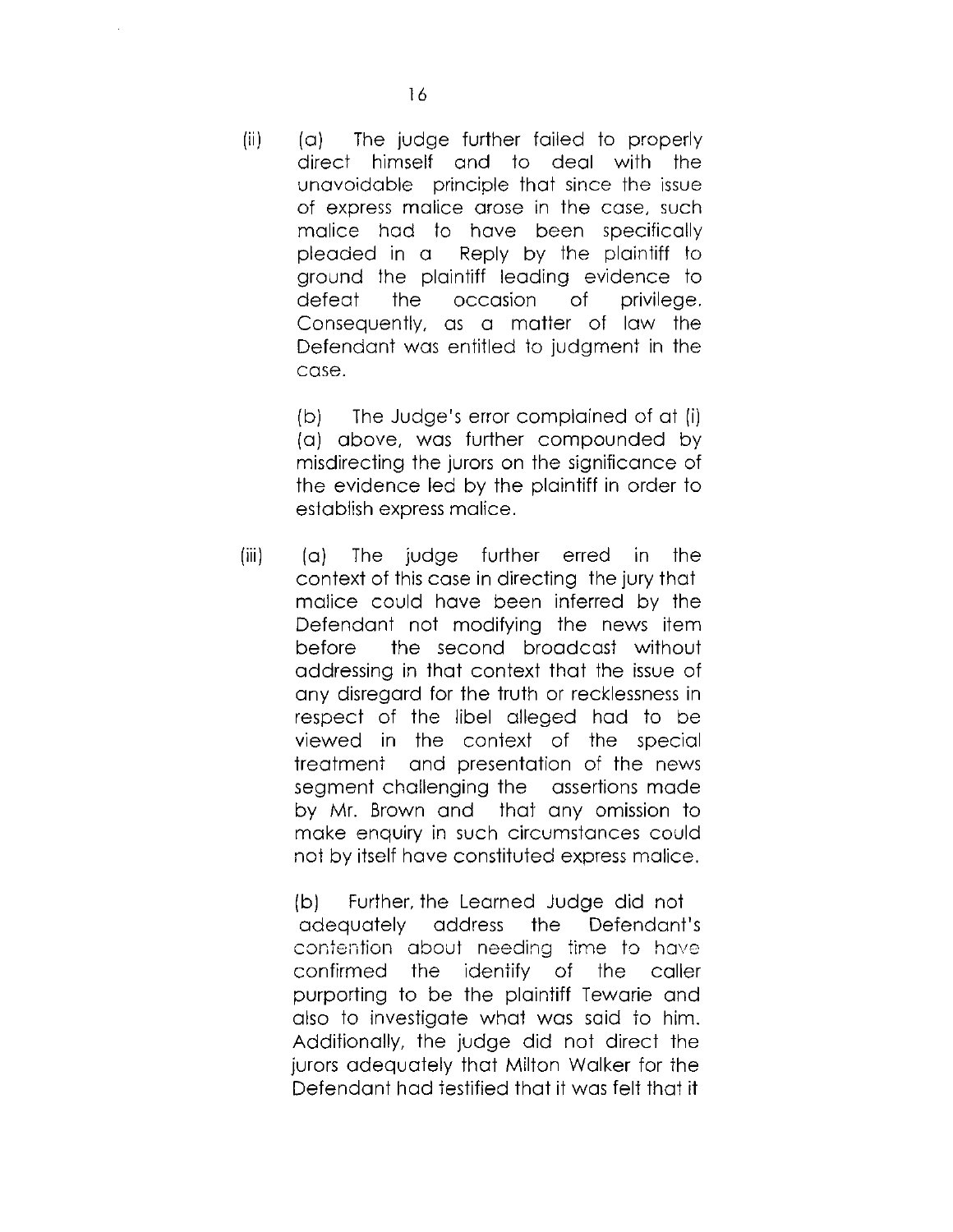(ii) (a) The judge further failed to properly direct himself and to deal with the unavoidable principle that since the issue of express malice arose in the case, such malice had to have been specifically pleaded in a Reply by the plaintiff to ground the plaintiff leading evidence to defeat the occasion of privilege. Consequently, as a matter of law the Defendant was entitled to judgment in the case.

> (b) The Judge's error complained of at (i) (a) above, was further compounded by misdirecting the jurors on the significance of the evidence led by the plaintiff in order to establish express malice.

(iii) (a) The judge further erred in the context of this case in directing the jury that malice could have been inferred by the Defendant not modifying the news item before the second broadcast without addressing in that context that the issue of any disregard for the truth or recklessness in respect of the libel alleged had to be viewed in the context of the special treatment and presentation of the news segment challenging the assertions made by Mr. Brown and that any omission to make enquiry in such circumstances could not by itself have constituted express malice.

> (b) Further, the Learned Judge did not adequately address the Defendant's contention about needing time to have confirmed the identify of the caller purporting to be the plaintiff Tewarie and also to investigate what was said to him. Additionally, the judge did not direct the jurors adequately that Milton Walker for the Defendant had testified that it was felt that it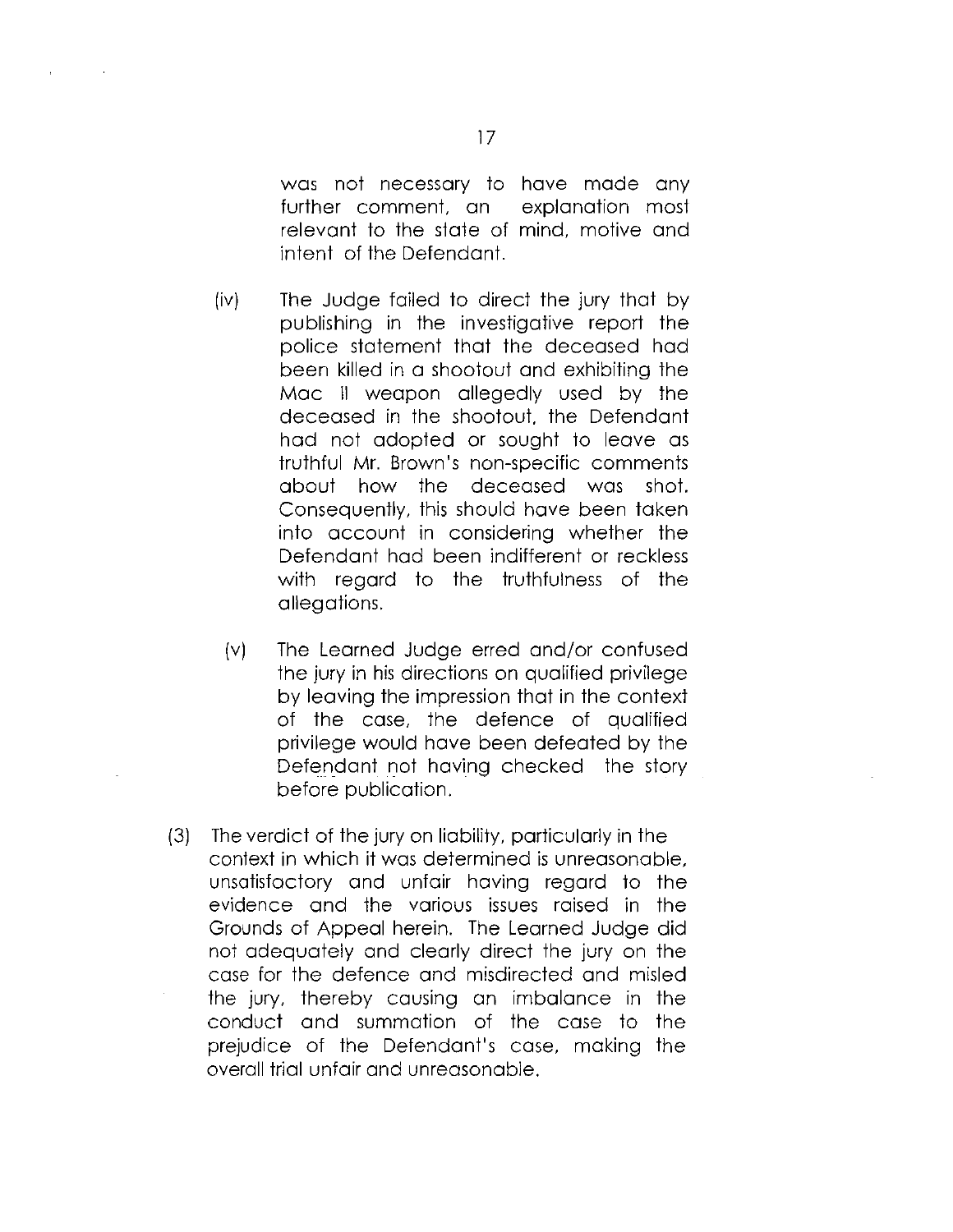was not necessary to have made any further comment, an explanation most relevant to the state of mind, motive and intent of the Defendant.

- (iv) The Judge failed to direct the jury that by publishing in the investigative report the police statement that the deceased had been killed in a shootout and exhibiting the Mac II weapon allegedly used by the deceased in the shootout, the Defendant had not adopted or sought to leave as truthful Mr. Brown's non-specific comments about how the deceased was shot. Consequently, this should have been taken into account in considering whether the Defendant had been indifferent or reckless with regard to the truthfulness of the allegations.
	- (v) The Learned Judge erred and/or confused the jury in his directions on qualified privilege by leaving the impression that in the context of the case, the defence of qualified privilege would have been defeated by the Defendant not having checked the story before publication.
- (3) The verdict of the jury on liability, particularly in the context in which it was determined is unreasonable, unsatisfactory and unfair having regard to the evidence and the various issues raised in the Grounds of Appeal herein. The Learned Judge did not adequately and clearly direct the jury on the case for the defence and misdirected and misled the jury, thereby causing an imbalance in the conduct and summation of the case to the prejudice of the Defendant's case, making the overall trial unfair and unreasonable.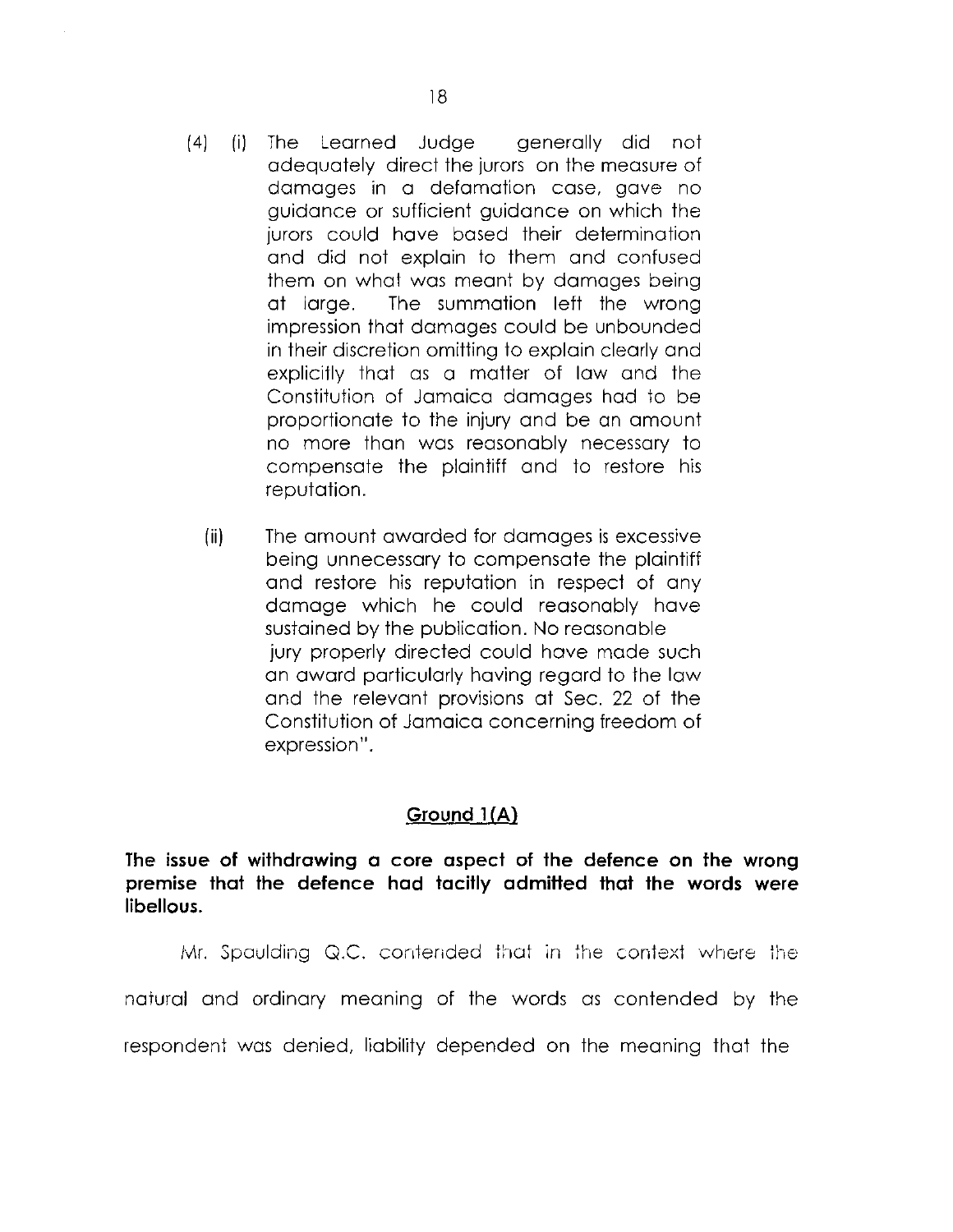- (4) (i) The Learned Judge generally did not adequately direct the jurors on the measure of damages in a defamation case, gave no guidance or sufficient guidance on which the jurors could have based their determination and did not explain to them and confused them on what was meant by damages being at large. The summation left the wrong impression that damages could be unbounded in their discretion omitting to explain clearly and explicitly that as a matter of law and the Constitution of Jamaica damages had to be proportionate to the injury and be an amount no more than was reasonably necessary to compensate the plaintiff and to restore his reputation.
	- (ii) The amount awarded for damages is excessive being unnecessary to compensate the plaintiff and restore his reputation in respect of any damage which he could reasonably have sustained by the publication. No reasonable jury properly directed could have made such an award particularly having regard to the law and the relevant provisions at Sec. 22 of the Constitution of Jamaica concerning freedom of expression".

### **Ground IfA)**

**The issue of withdrawing a core aspect of the defence on the wrong premise that the defence had tacitly admitted that the words were libellous.** 

Mr. Spaulding  $Q.C.$  contended that in the context where the natural and ordinary meaning of the words as contended by the respondent was denied, liability depended on the meaning that the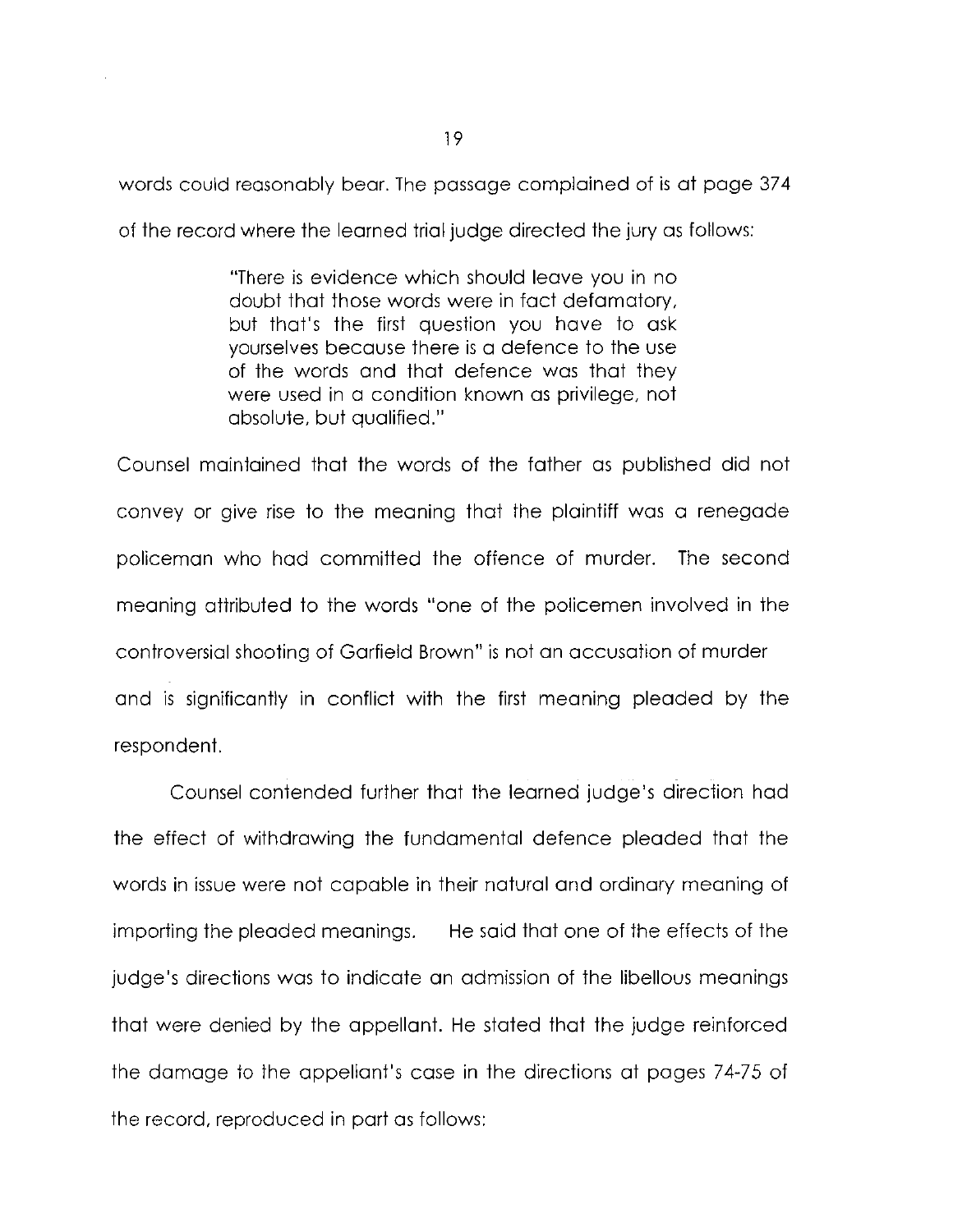words could reasonably bear. The passage complained of is at page 374 of the record where the learned trial judge directed the jury as follows:

> "There is evidence which should leave you in no doubt that those words were in fact defamatory, but that's the first question you have to ask yourselves because there is a defence to the use of the words and that defence was that they were used in a condition known as privilege, not absolute, but qualified."

Counsel maintained that the words of the father as published did not convey or give rise to the meaning that the plaintiff was a renegade policeman who had committed the offence of murder. The second meaning attributed to the words "one of the policemen involved in the controversial shooting of Garfield Brown" is not an accusation of murder and is significantly in conflict with the first meaning pleaded by the respondent.

Counsel contended further that the learned judge's direction had the effect of withdrawing the fundamental defence pleaded that the words in issue were not capable in their natural and ordinary meaning of importing the pleaded meanings. He said that one of the effects of the judge's directions was to indicate an admission of the libellous meanings that were denied by the appellant. He stated that the judge reinforced the damage to the appellant's case in the directions at pages 74-75 of the record, reproduced in part as follows: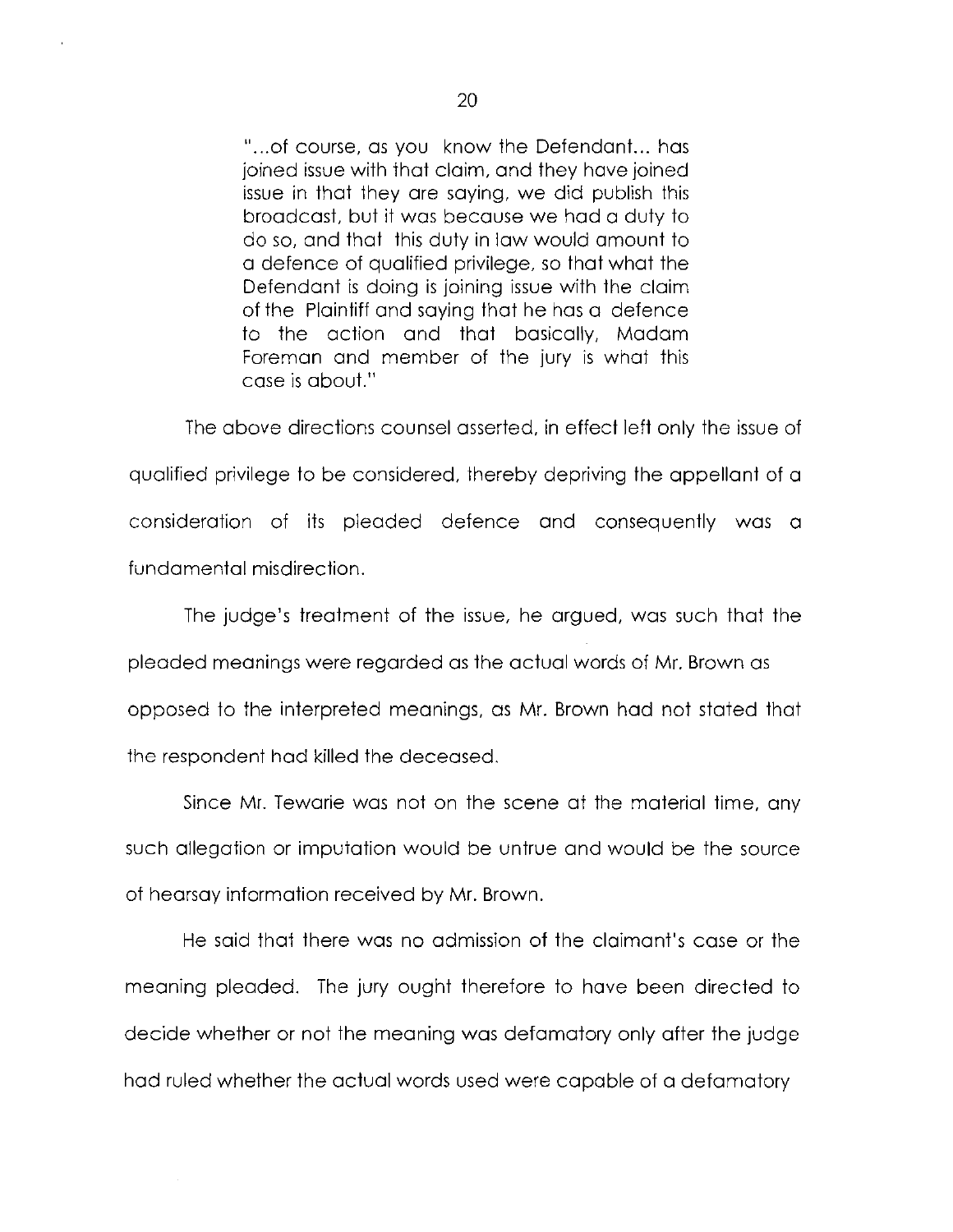"...of course, as you know the Defendant... has joined issue with that claim, and they have joined issue in that they are saying, we did publish this broadcast, but it was because we had a duty to do so, and that this duty in law would amount to a defence of qualified privilege, so that what the Defendant is doing is joining issue with the claim of the Plaintiff and saying that he has a defence to the action and that basically, Madam Foreman and member of the jury is what this case is about."

The above directions counsel asserted, in effect left only the issue of qualified privilege to be considered, thereby depriving the appellant of a consideration of its pleaded defence and consequently was a fundamental misdirection.

The judge's treatment of the issue, he argued, was such that the pleaded meanings were regarded as the actual words of Mr. Brown as opposed to the interpreted meanings, as Mr. Brown had not stated that the respondent had killed the deceased.

Since Mr. Tewarie was not on the scene at the material time, any such allegation or imputation would be untrue and would be the source of hearsay information received by Mr. Brown.

He said that there was no admission of the claimant's case or the meaning pleaded. The jury ought therefore to have been directed to decide whether or not the meaning was defamatory only after the judge had ruled whether the actual words used were capable of a defamatory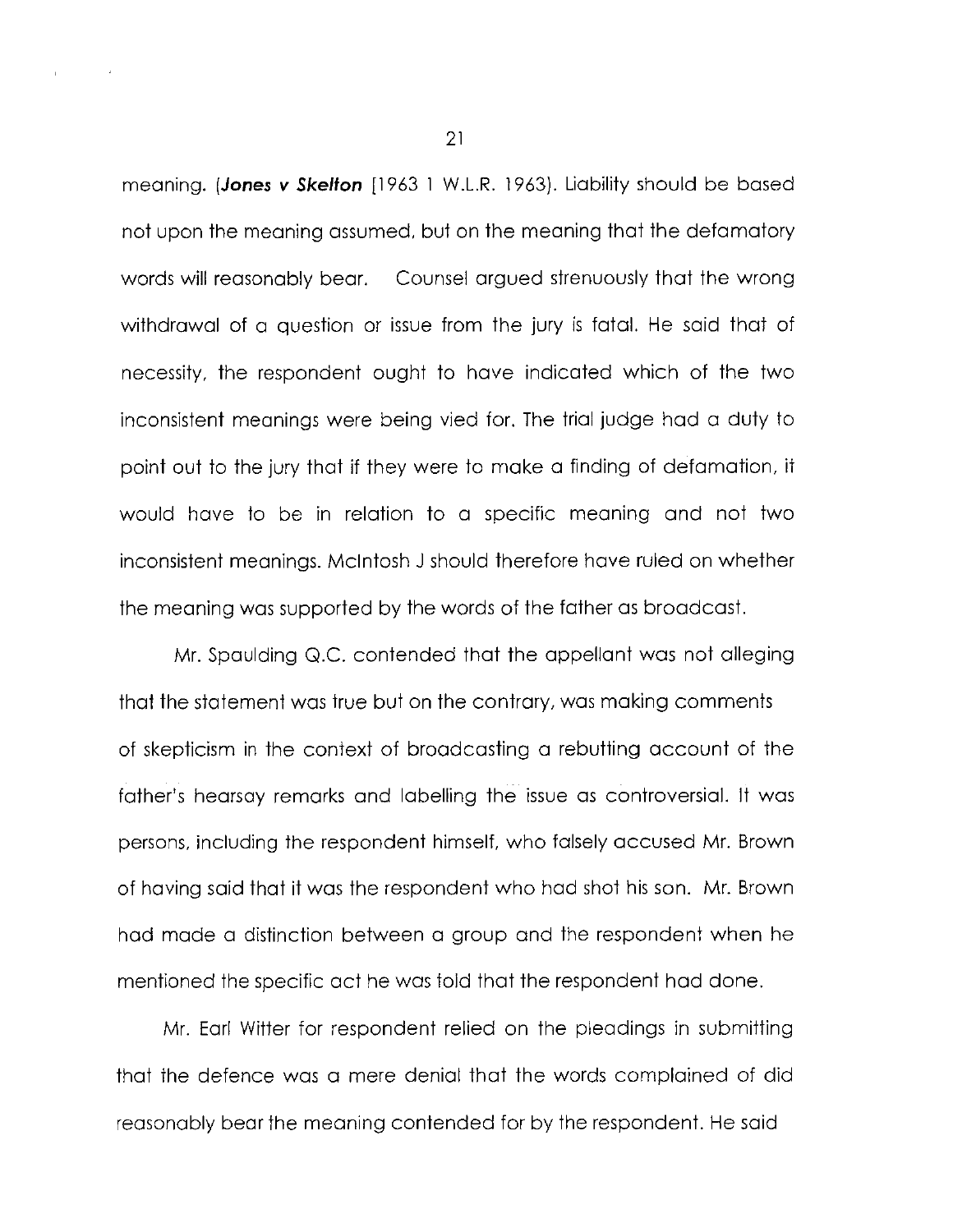meaning. *(Jones v Skelton* [1963 1 W.L.R. 1963). Liability should be based not upon the meaning assumed, but on the meaning that the defamatory words will reasonably bear. Counsel argued strenuously that the wrong withdrawal of a question or issue from the jury is fatal. He said that of necessity, the respondent ought to have indicated which of the two inconsistent meanings were being vied for. The trial judge had a duty to point out to the jury that if they were to make a finding of defamation, it would have to be in relation to a specific meaning and not two inconsistent meanings. Mcintosh J should therefore have ruled on whether the meaning was supported by the words of the father as broadcast.

Mr. Spaulding Q.C. contended that the appellant was not alleging that the statement was true but on the contrary, was making comments of skepticism in the context of broadcasting a rebutting account of the father's hearsay remarks and labelling the issue as controversial. It was persons, including the respondent himself, who falsely accused Mr. Brown of having said that it was the respondent who had shot his son. Mr. Brown had made a distinction between a group and the respondent when he mentioned the specific act he was told that the respondent had done.

Mr. Earl Witter for respondent relied on the pleadings in submitting that the defence was a mere denial that the words complained of did reasonably bear the meaning contended for by the respondent. He said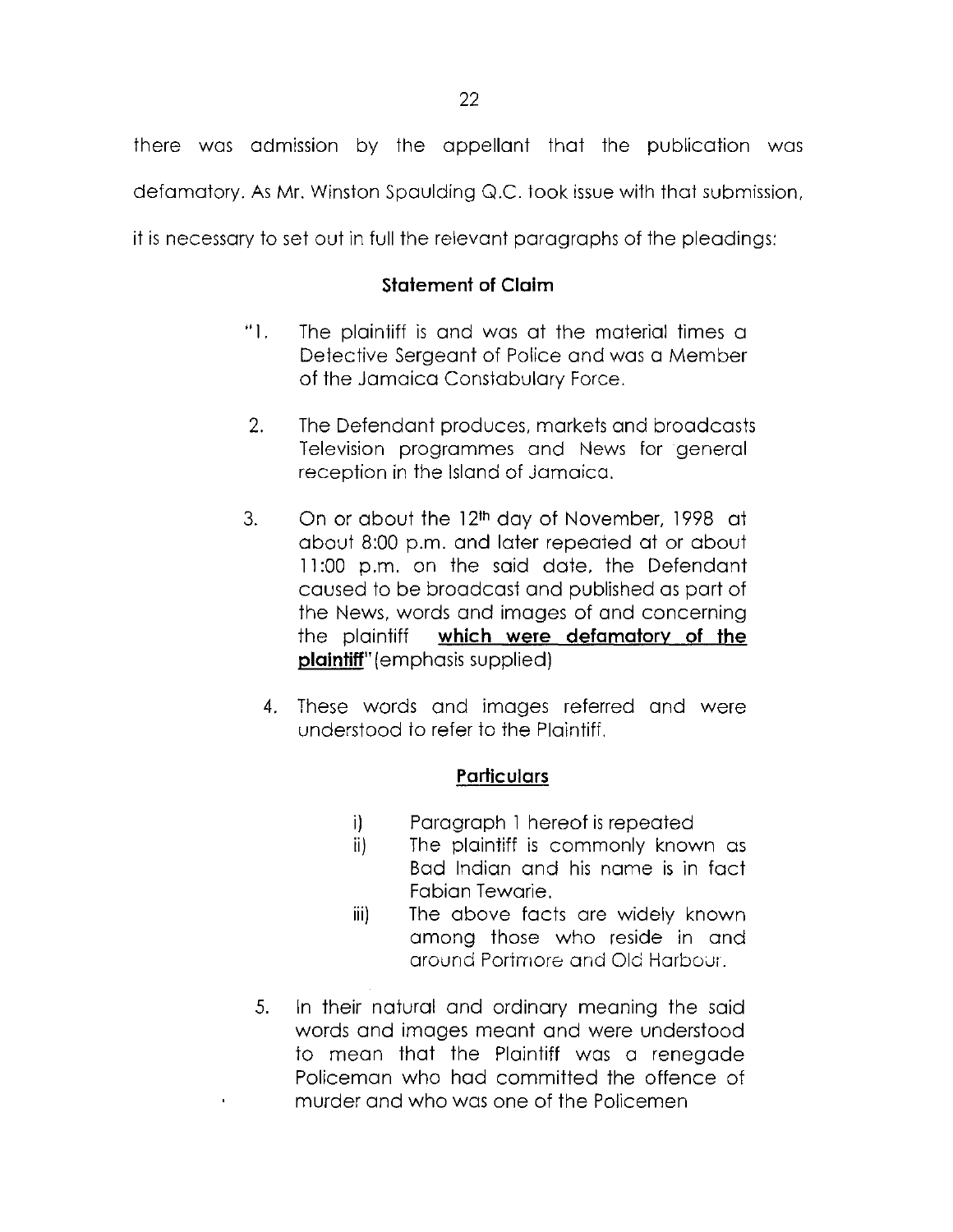there was admission by the appellant that the publication was defamatory. As Mr. Winston Spaulding Q.C. took issue with that submission,

it is necessary to set out in full the relevant paragraphs of the pleadings:

## **Statement of Claim**

- "1. The plaintiff is and was at the material times a Detective Sergeant of Police and was a Member of the Jamaica Constabulary Force.
- 2. The Defendant produces, markets and broadcasts Television programmes and News for general reception in the Island of Jamaica.
- 3. On or about the 12<sup>th</sup> day of November, 1998 at about 8:00 p.m. and later repeated at or about 11:00 p.m. on the said date, the Defendant caused to be broadcast and published as part of the News, words and images of and concerning the plaintiff **which were defamatory of the plaintiff"** (emphasis supplied)
	- 4. These words and images referred and were understood to refer to the Plaintiff.

## **Particulars**

- i) Paragraph 1 hereof is repeated
- ii) The plaintiff is commonly known as Bad Indian and his name is in fact Fabian Tewarie.
- iii) The above facts are widely known among those who reside in and around Portmore and Old Harbour.
- 5. In their natural and ordinary meaning the said words and images meant and were understood to mean that the Plaintiff was a renegade Policeman who had committed the offence of murder and who was one of the Policemen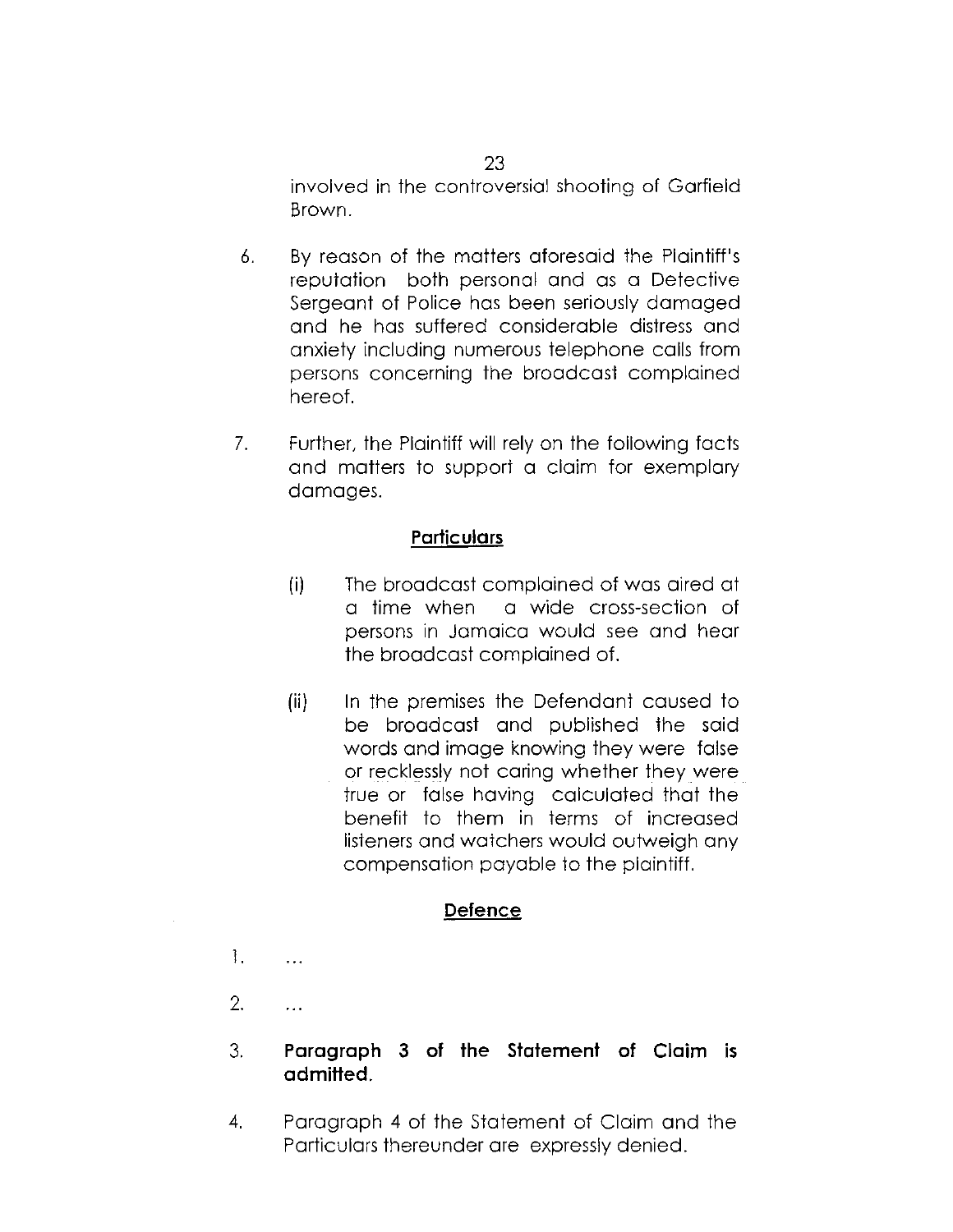involved in the controversial shooting of Garfield Brown.

- 6. By reason of the matters aforesaid the Plaintiff's reputation both personal and as a Detective Sergeant of Police has been seriously damaged and he has suffered considerable distress and anxiety including numerous telephone calls from persons concerning the broadcast complained hereof.
- 7. Further, the Plaintiff will rely on the following facts and matters to support a claim for exemplary damages.

### **Particulars**

- (i) The broadcast complained of was aired at a time when a wide cross-section of persons in Jamaica would see and hear the broadcast complained of.
- (ii) In the premises the Defendant caused to be broadcast and published the said words and image knowing they were false or recklessly not caring whether they were true or false having calculated that the benefit to them in terms of increased listeners and watchers would outweigh any compensation payable to the plaintiff.

### **Defence**

1.  $\ddot{\phantom{a}}$ 

2.  $\ddotsc$ 

## 3. **Paragraph 3 of the Statement of Claim is admitted.**

4. Paragraph 4 of the Statement of Claim and the Particulars thereunder are expressly denied.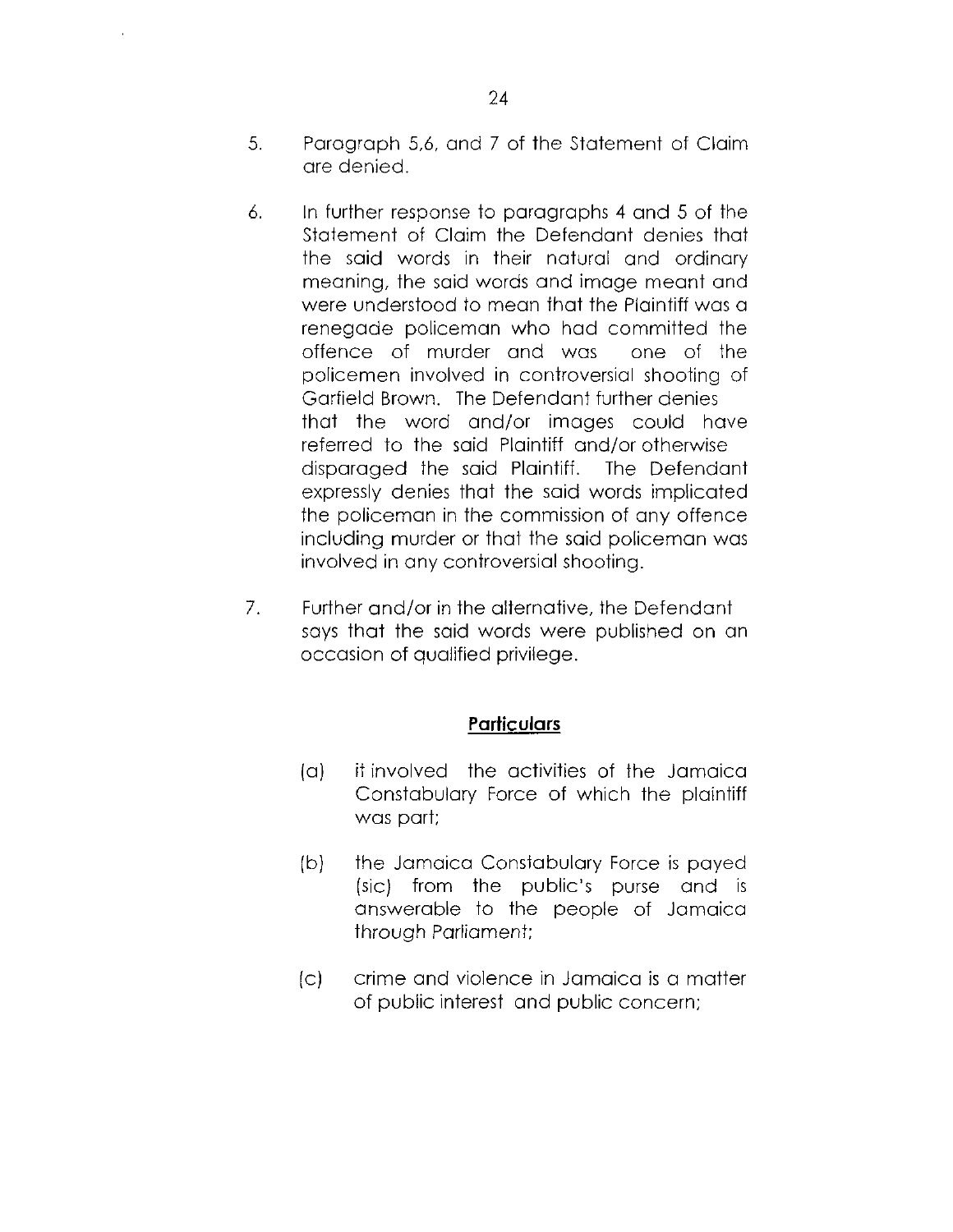- 5. Paragraph 5,6, and 7 of the Statement of Claim are denied.
- 6. In further response to paragraphs 4 and 5 of the Statement of Claim the Defendant denies that the said words in their natural and ordinary meaning, the said words and image meant and were understood to mean that the Plaintiff was a renegade policeman who had committed the offence of murder and was one of the policemen involved in controversial shooting of Garfield Brown. The Defendant further denies that the word and/or images could have referred to the said Plaintiff and/or otherwise disparaged the said Plaintiff. The Defendant expressly denies that the said words implicated the policeman in the commission of any offence including murder or that the said policeman was involved in any controversial shooting.
- 7. Further and/or in the alternative, the Defendant says that the said words were published on an occasion of qualified privilege.

### **Particulars**

- (a) it involved the activities of the Jamaica Constabulary Force of which the plaintiff was part;
- (b) the Jamaica Constabulary Force is payed (sic) from the public's purse and is answerable to the people of Jamaica through Parliament;
- (c) crime and violence in Jamaica is a matter of public interest and public concern;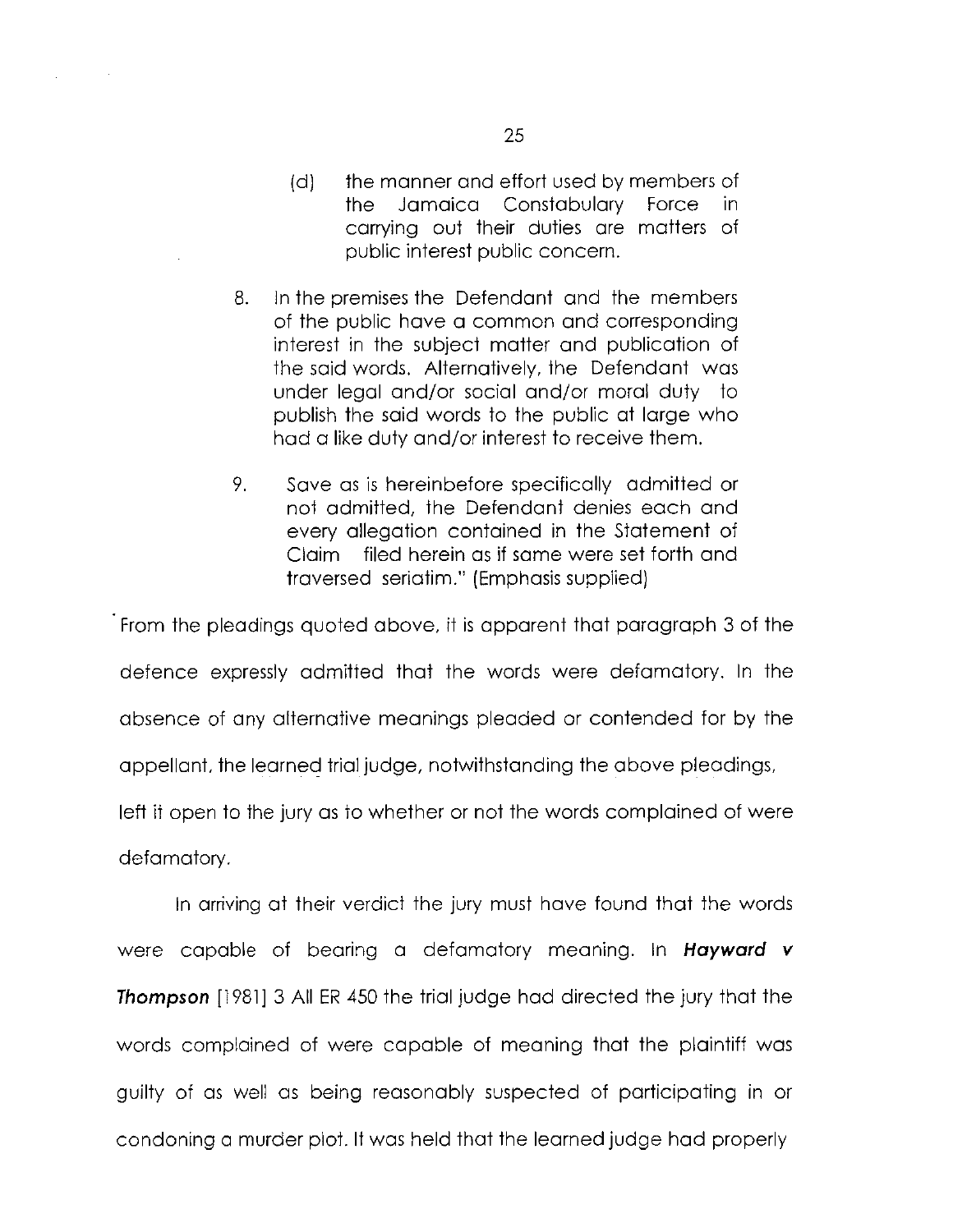- (d) the manner and effort used by members of the Jamaica Constabulary Force in carrying out their duties are matters of public interest public concern.
- 8. In the premises the Defendant and the members of the public have a common and corresponding interest in the subject matter and publication of the said words. Alternatively, the Defendant was under legal and/or social and/or moral duty to publish the said words to the public at large who had a like duty and/or interest to receive them.
- 9. Save as is hereinbefore specifically admitted or not admitted, the Defendant denies each and every allegation contained in the Statement of Claim filed herein as if same were set forth and traversed seriatim." (Emphasis supplied)

From the pleadings quoted above, it is apparent that paragraph 3 of the defence expressly admitted that the words were defamatory. In the absence of any alternative meanings pleaded or contended for by the appellant, the learned trial judge, notwithstanding the above pleadings, left it open to the jury as to whether or not the words complained of were defamatory.

In arriving at their verdict the jury must have found that the words were capable of bearing a defamatory meaning. In *Hayward v Thompson* [1981] 3 All ER 450 the trial judge had directed the jury that the words complained of were capable of meaning that the plaintiff was guilty of as well as being reasonably suspected of participating in or condoning a murder plot. It was held that the learned judge had properly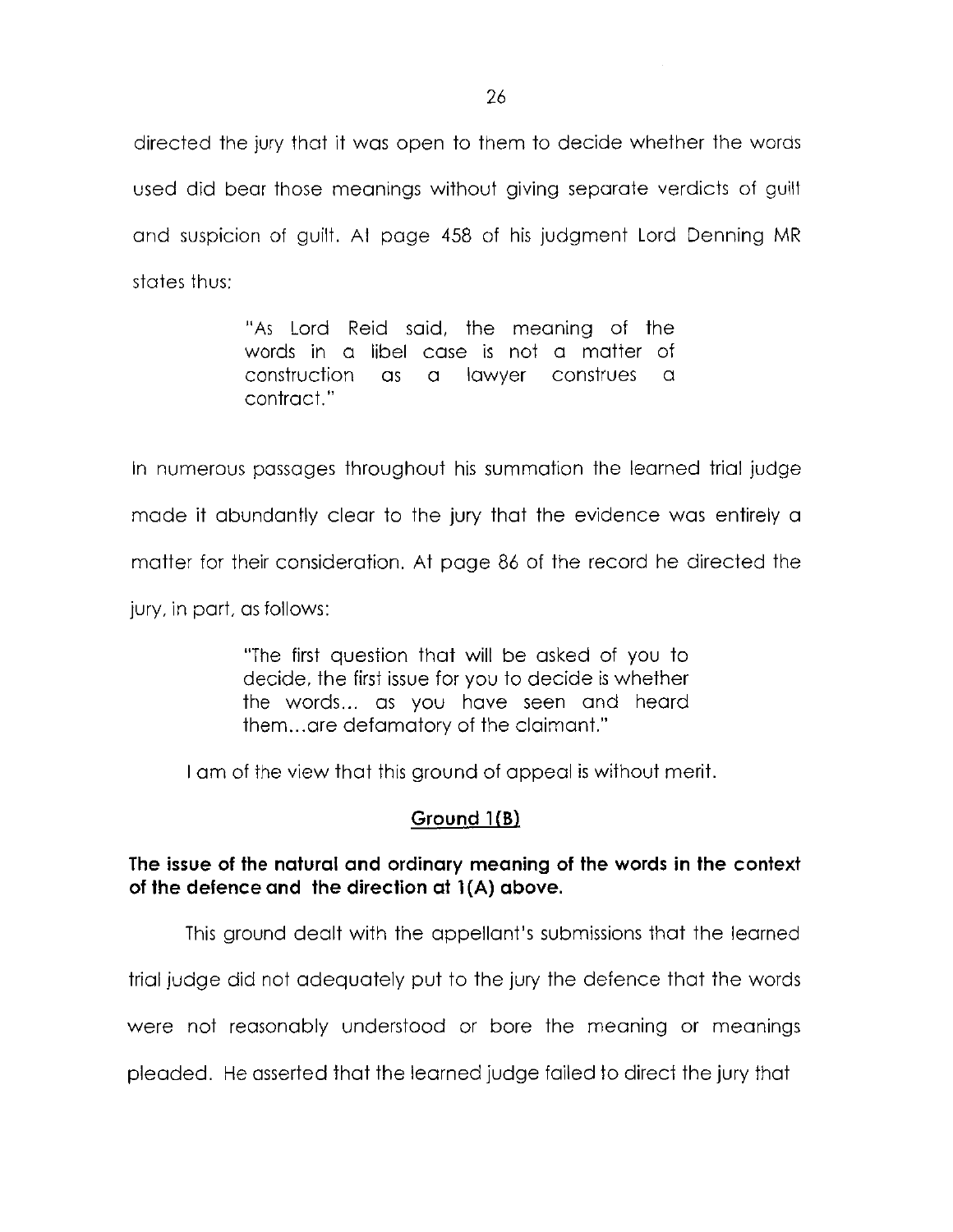directed the jury that it was open to them to decide whether the words used did bear those meanings without giving separate verdicts ot guilt and suspicion of guilt. At page 458 of his judgment Lord Denning MR states thus:

> "As Lord Reid said, the meaning of the words in a libel case is not a matter of construction as a lawyer construes a contract."

In numerous passages throughout his summation the learned trial judge made it abundantly clear to the jury that the evidence was entirely a matter for their consideration. At page 86 of the record he directed the jury, in part, as follows:

> "The first question that will be asked of you to decide, the first issue for you to decide is whether the words... as you have seen and heard them...are defamatory of the claimant."

I am of the view that this ground of appeal is without merit.

### **Ground IfB)**

## **The issue of the natural and ordinary meaning of the words in the context of the defence and the direction at 1 (A) above.**

This ground dealt with the appellant's submissions that the learned

trial judge did not adequately put to the jury the defence that the words

were not reasonably understood or bore the meaning or meanings

pleaded. He asserted that the learned judge failed to direct the jury that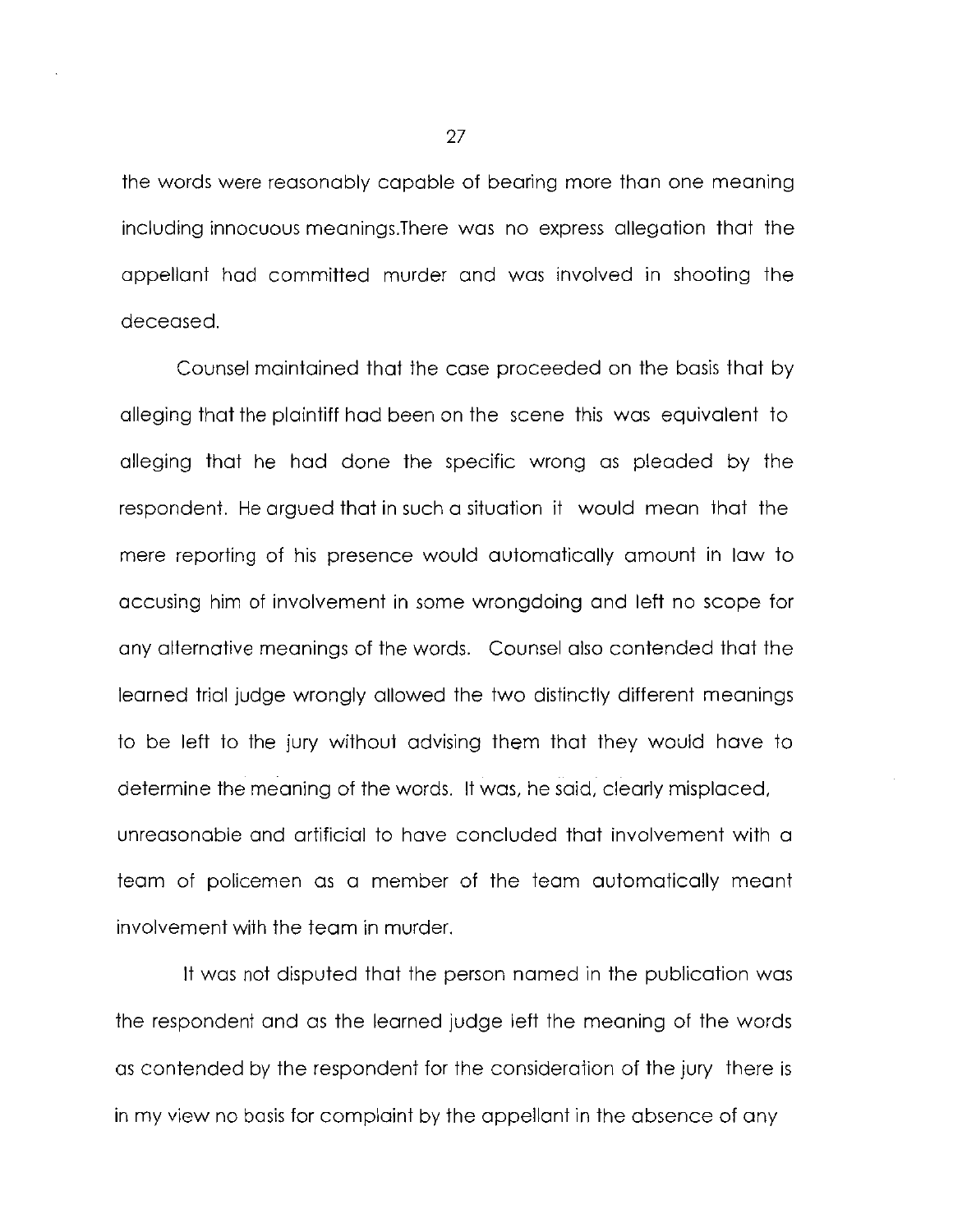the words were reasonably capable of bearing more than one meaning including innocuous meanings.There was no express allegation that the appellant had committed murder and was involved in shooting the deceased.

Counsel maintained that the case proceeded on the basis that by alleging that the plaintiff had been on the scene this was equivalent to alleging that he had done the specific wrong as pleaded by the respondent. He argued that in such a situation it would mean that the mere reporting of his presence would automatically amount in law to accusing him of involvement in some wrongdoing and left no scope for any alternative meanings of the words. Counsel also contended that the learned trial judge wrongly allowed the two distinctly different meanings to be left to the jury without advising them that they would have to determine the meaning of the words. It was, he said, clearly misplaced, unreasonable and artificial to have concluded that involvement with a team of policemen as a member of the team automatically meant involvement with the team in murder.

It was not disputed that the person named in the publication was the respondent and as the learned judge left the meaning of the words as contended by the respondent for the consideration of the jury there is in my view no basis for complaint by the appellant in the absence of any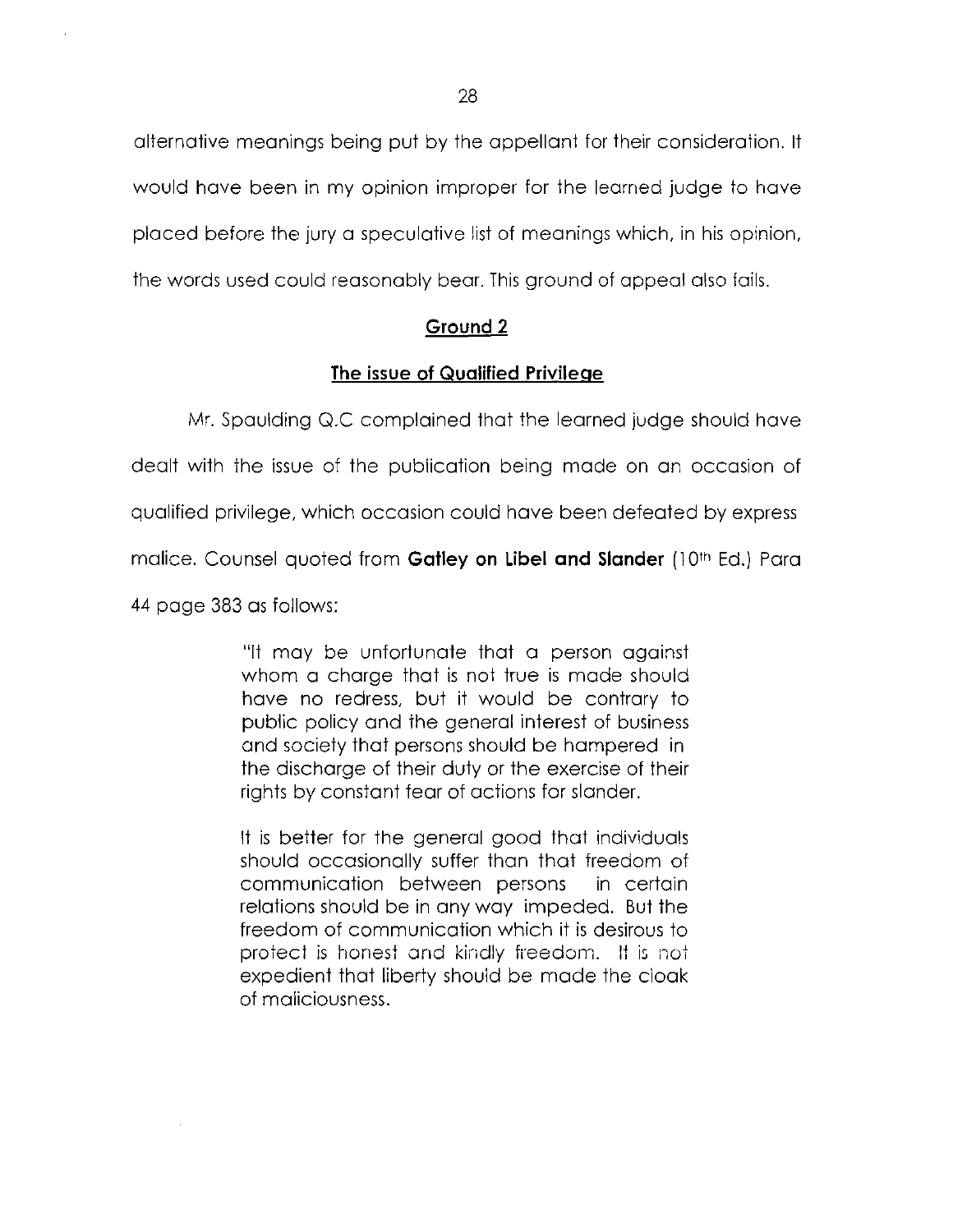alternative meanings being put by the appellant tor their consideration. It would have been in my opinion improper for the learned judge to have placed before the jury a speculative list of meanings which, in his opinion, the words used could reasonably bear. This ground of appeal also fails.

### **Ground 2**

### **The issue of Qualified Privilege**

Mr. Spaulding Q.C complained that the learned judge should have

dealt with the issue of the publication being made on an occasion of

qualified privilege, which occasion could have been defeated by express

malice. Counsel quoted from **Gatley on Libel and Slander** (10<sup>th</sup> Ed.) Para

44 page 383 as follows:

"It may be unfortunate that a person against whom a charge that is not true is made should have no redress, but it would be contrary to public policy and the general interest of business and society that persons should be hampered in the discharge of their duty or the exercise of their rights by constant fear of actions for slander.

It is better for the general good that individuals should occasionally suffer than that freedom of communication between persons in certain relations should be in any way impeded. But the freedom of communication which it is desirous to protect is honest and kindly freedom. It is not expedient that liberty should be made the cloak of maliciousness.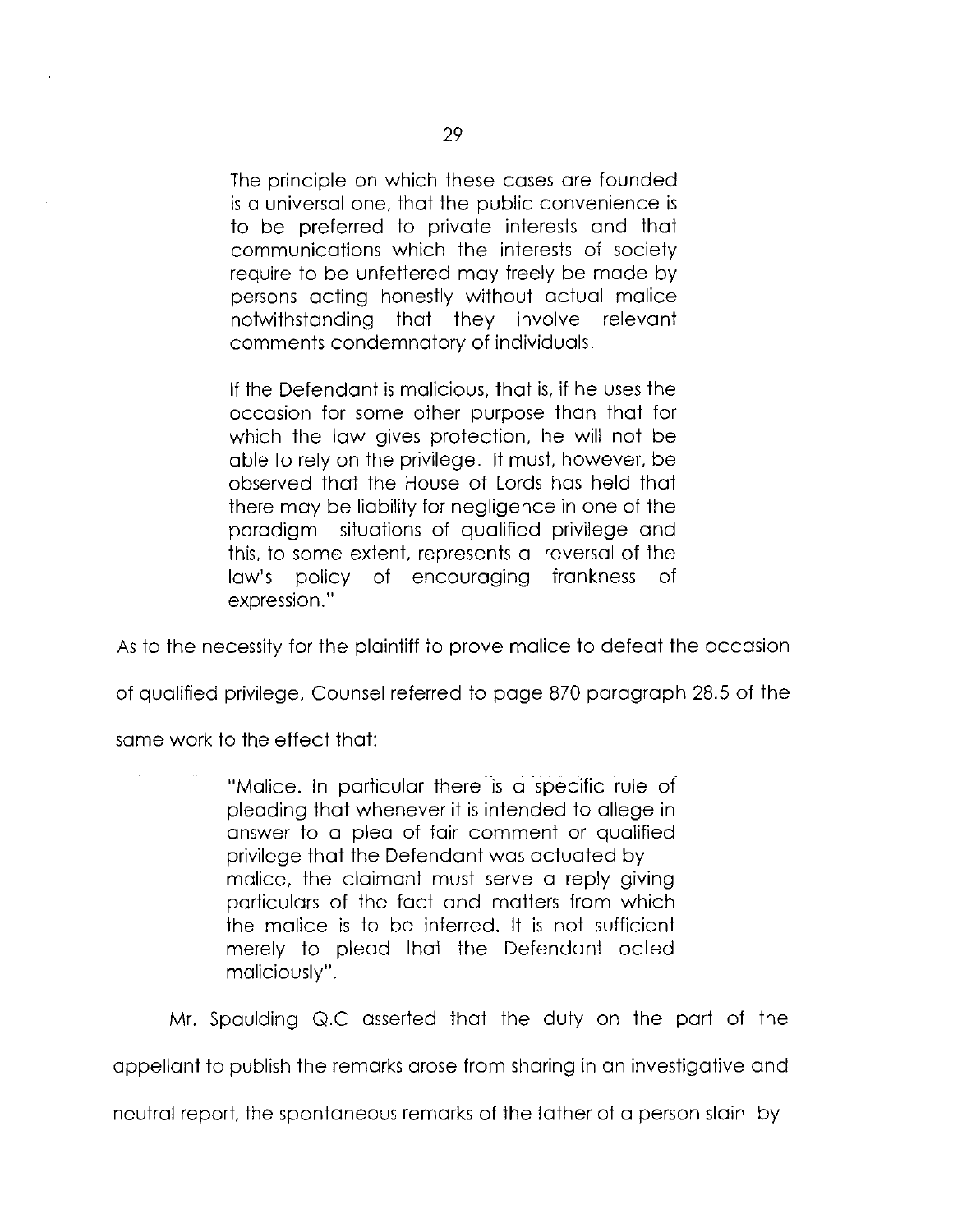The principle on which these cases are founded is a universal one, that the public convenience is to be preferred to private interests and that communications which the interests of society require to be unfettered may freely be made by persons acting honestly without actual malice notwithstanding that they involve relevant comments condemnatory of individuals.

If the Defendant is malicious, that is, if he uses the occasion for some other purpose than that for which the law gives protection, he will not be able to rely on the privilege. It must, however, be observed that the House of Lords has held that there may be liability for negligence in one of the paradigm situations of qualified privilege and this, to some extent, represents a reversal of the law's policy of encouraging frankness of expression."

As to the necessity for the plaintiff to prove malice to defeat the occasion

of qualified privilege, Counsel referred to page 870 paragraph 28.5 of the

same work to the effect that:

"Malice. In particular there is a specific rule of pleading that whenever it is intended to allege in answer to a plea of fair comment or qualified privilege that the Defendant was actuated by malice, the claimant must serve a reply giving particulars of the fact and matters from which the malice is to be inferred. It is not sufficient merely to plead that the Defendant acted maliciously".

Mr. Spaulding Q.C asserted that the duty on the part of the

appellant to publish the remarks arose from sharing in an investigative and

neutral report, the spontaneous remarks of the father of a person slain by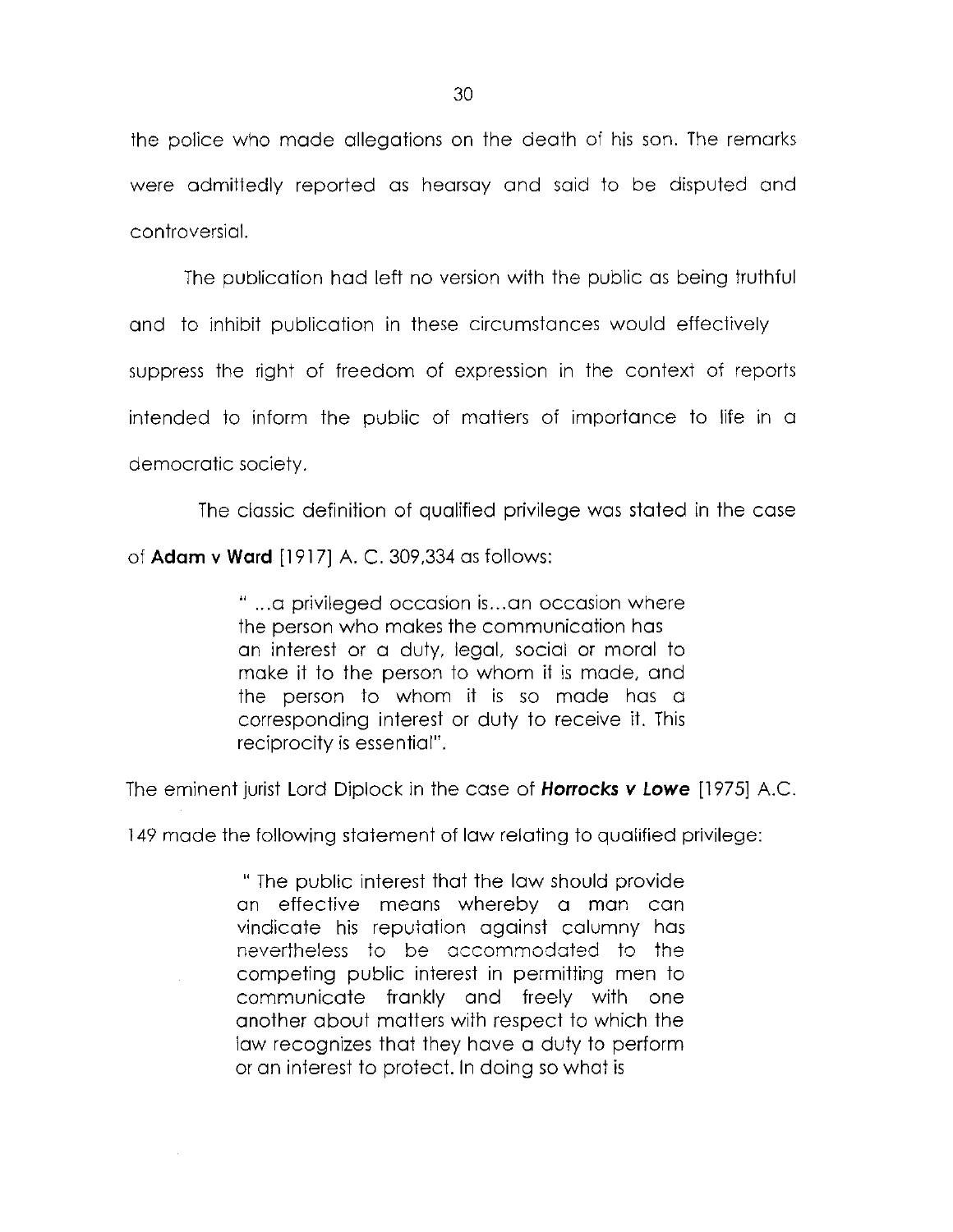the police who mode allegations on the death of his son. The remarks were admittedly reported as hearsay and said to be disputed and controversial.

The publication had left no version with the public as being truthful and to inhibit publication in these circumstances would effectively suppress the right of freedom of expression in the context of reports intended to inform the public of matters of importance to life in a democratic society.

The classic definition of qualified privilege was stated in the case

of **Adam v Ward** [1917] A. C. 309,334 as follows:

" ...a privileged occasion is...an occasion where the person who makes the communication has an interest or a duty, legal, social or moral to make it to the person to whom it is made, and the person to whom it is so made has a corresponding interest or duty to receive it. This reciprocity is essential".

The eminent jurist Lord Diplock in the case of *Horrocks v Lowe* [1975] A.C.

149 made the following statement of law relating to qualified privilege:

" The public interest that the law should provide an effective means whereby a man can vindicate his reputation against calumny has nevertheless to be accommodated to the competing public interest in permitting men to communicate frankly and freely with one another about matters with respect to which the law recognizes that they have a duty to perform or an interest to protect. In doing so what is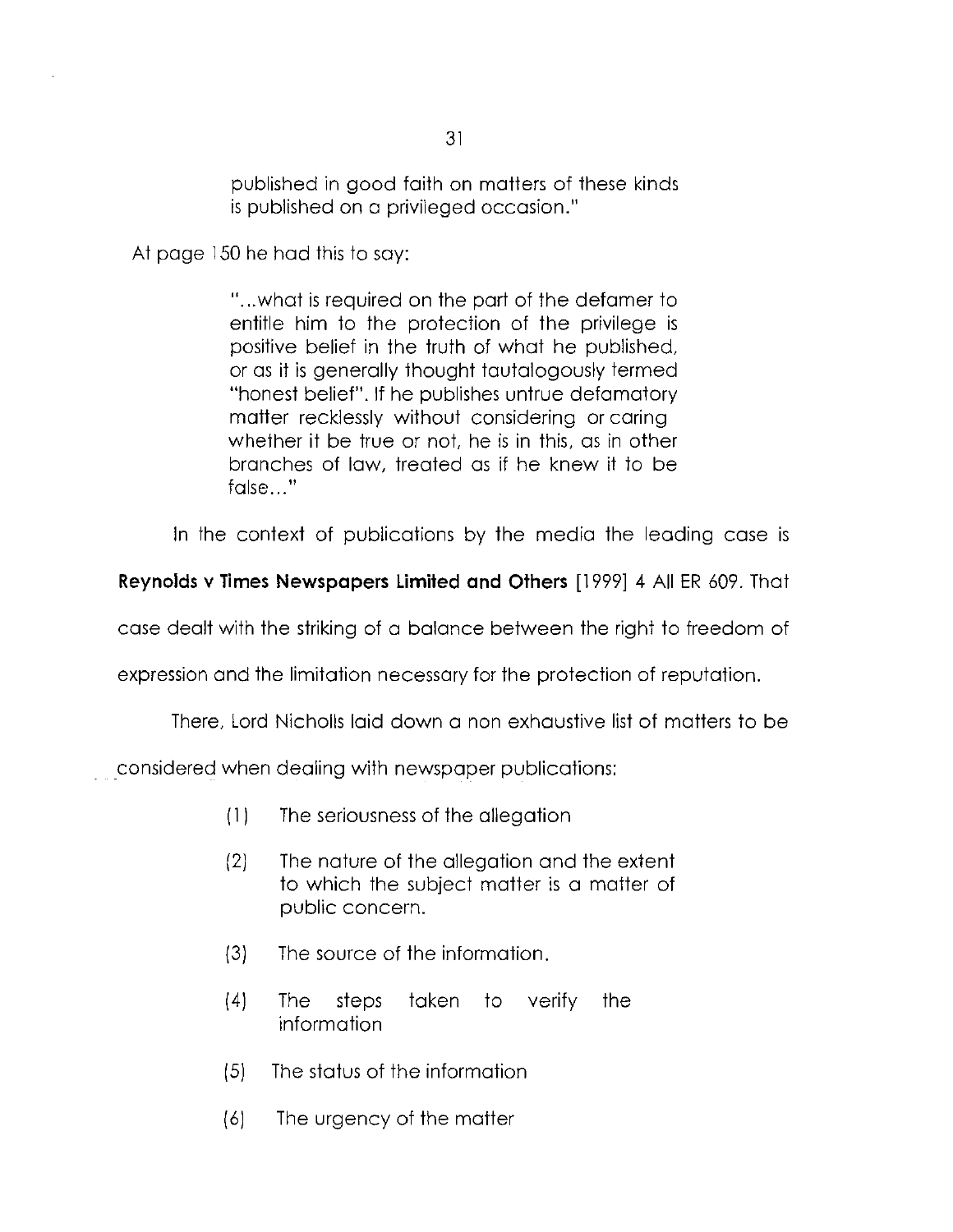published in good faith on matters of these kinds is published on a privileged occasion."

At page 150 he had this to say:

"...what is required on the part of the defamer to entitle him to the protection of the privilege is positive belief in the truth of what he published, or as it is generally thought tautalogously termed "honest belief". If he publishes untrue defamatory matter recklessly without considering or caring whether it be true or not, he is in this, as in other branches of law, treated as if he knew it to be false..."

In the context of publications by the media the leading case is

**Reynolds v Times Newspapers Limited and Others** [1999] 4 All ER 609. That

case dealt with the striking of a balance between the right to freedom of

expression and the limitation necessary for the protection of reputation.

There, Lord Nicholls laid down a non exhaustive list of matters to be

considered when dealing with newspaper publications:

- (1) The seriousness of the allegation
- (2) The nature of the allegation and the extent to which the subject matter is a matter of public concern.
- (3) The source of the information.
- (4) The steps taken to verify the information
- (5) The status of the information
- (6) The urgency of the matter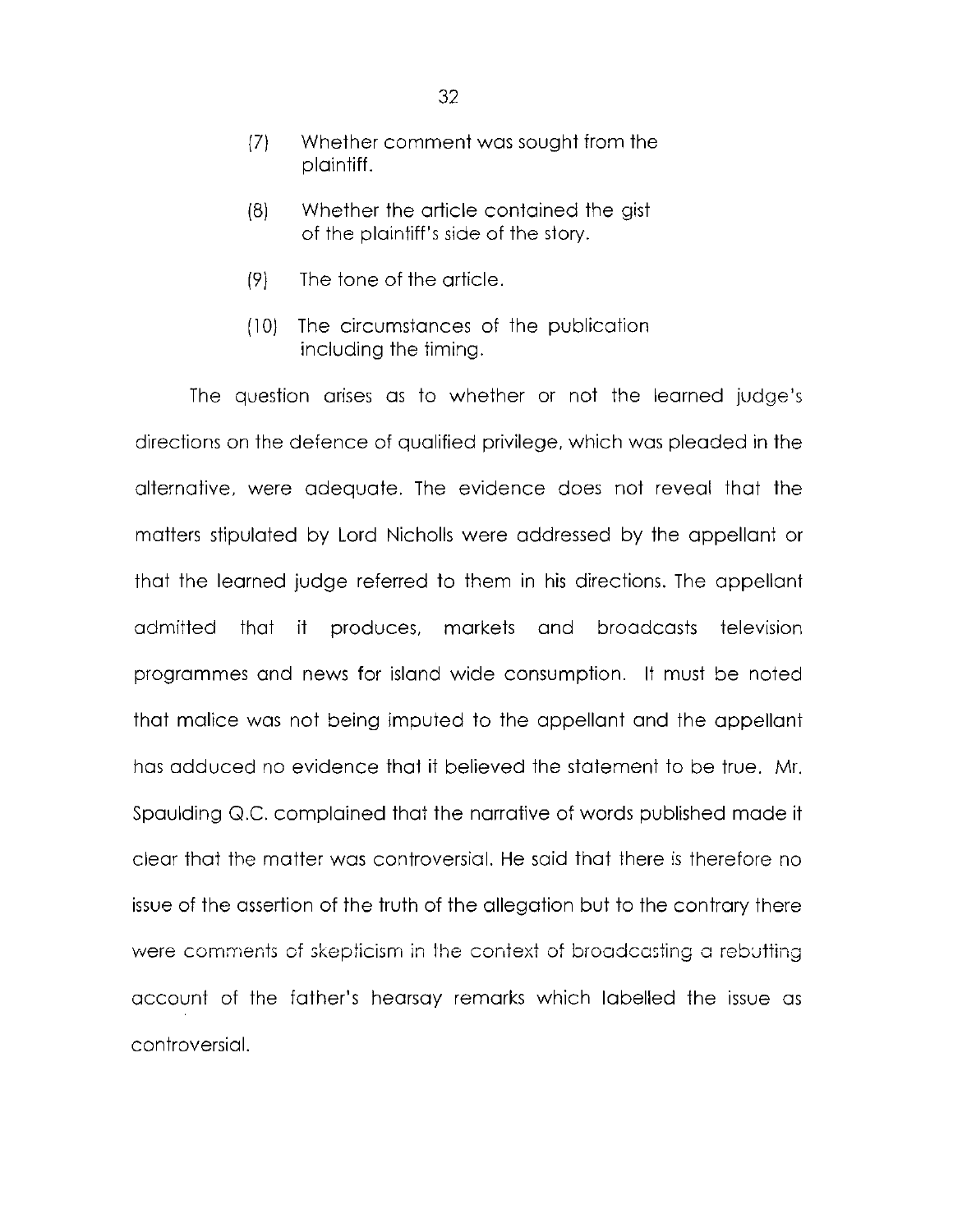- (7) Whether comment was sought from the plaintiff.
- (8) Whether the article contained the gist of the plaintiff's side of the story.
- (9) The tone of the article.
- (10) The circumstances of the publication including the timing.

The question arises as to whether or not the learned judge's directions on the defence of qualified privilege, which was pleaded in the alternative, were adequate. The evidence does not reveal that the matters stipulated by Lord Nicholls were addressed by the appellant or that the learned judge referred to them in his directions. The appellant admitted that it produces, markets and broadcasts television programmes and news for island wide consumption. It must be noted that malice was not being imputed to the appellant and the appellant has adduced no evidence that it believed the statement to be true. Mr. Spaulding Q.C. complained that the narrative of words published made it clear that the matter was controversial. He said that there is therefore no issue of the assertion of the truth of the allegation but to the contrary there were comments of skepticism in the context of broadcasting a rebutting account of the father's hearsay remarks which labelled the issue as controversial.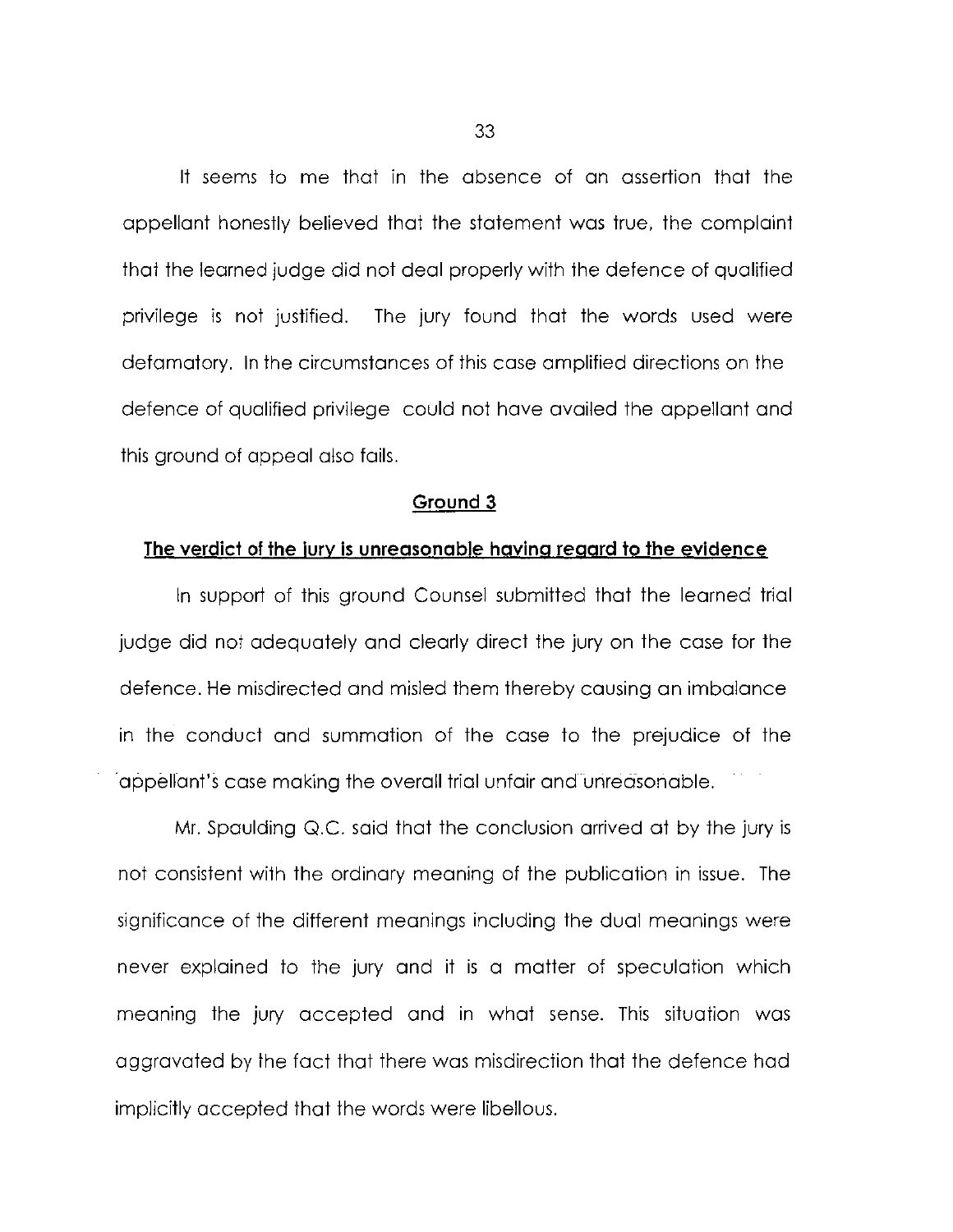It seems to me that in the absence of an assertion that the appellant honestly believed that the statement was true, the complaint that the learned judge did not deal properly with the defence of qualified privilege is not justified. The jury found that the words used were defamatory. In the circumstances of this case amplified directions on the defence of qualified privilege could not have availed the appellant and this ground of appeal also fails.

#### **Ground 3**

#### **The verdici of the jury is unreasonable having regard to the evidence**

In support of this ground Counsel submitted that the learned trial judge did not adequately and clearly direct the jury on the case for the defence. He misdirected and misled them thereby causing an imbalance in the conduct and summation of the case to the prejudice of the appellant's case making the overall trial unfair and unreasonable.

Mr. Spaulding Q.C. said that the conclusion arrived at by the jury is not consistent with the ordinary meaning of the publication in issue. The significance of the different meanings including the dual meanings were never explained to the jury and it is a matter of speculation which meaning the jury accepted and in what sense. This situation was aggravated by the fact that there was misdirection that the defence had implicitly accepted that the words were libellous.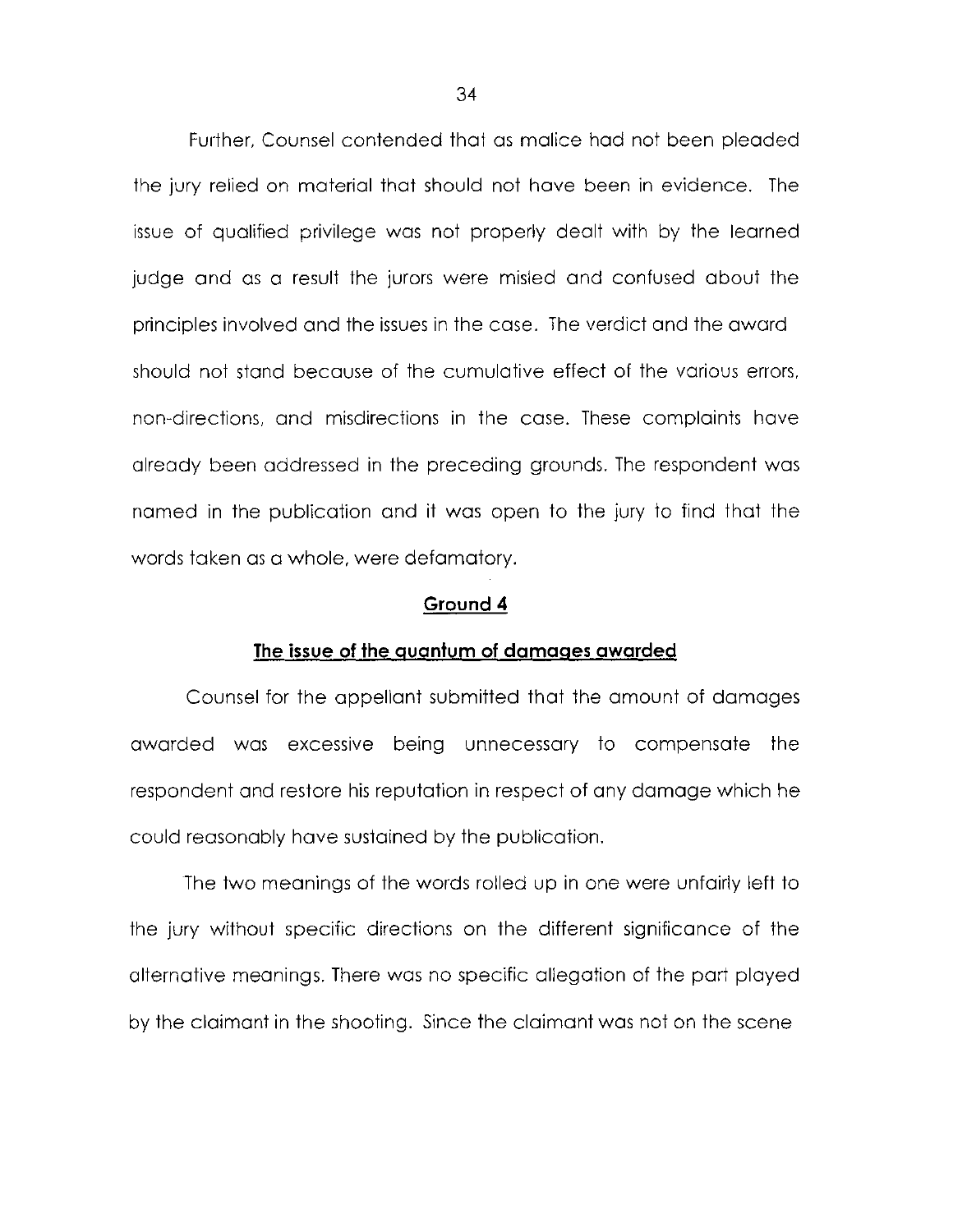Further, Counsel contended that as malice had not been pleaded the jury relied on material that should not have been in evidence. The issue of qualified privilege was not properly dealt with by the learned judge and as a result the jurors were misled and confused about the principles involved and the issues in the case. The verdict and the award should not stand because of the cumulative effect of the various errors, non-directions, and misdirections in the case. These complaints have already been addressed in the preceding grounds. The respondent was named in the publication and it was open to the jury to find that the words taken as a whole, were defamatory.

#### **Ground 4**

#### **The issue of the quantum of damages awarded**

Counsel for the appellant submitted that the amount of damages awarded was excessive being unnecessary to compensate the respondent and restore his reputation in respect of any damage which he could reasonably have sustained by the publication.

The two meanings of the words rolled up in one were unfairly left to the jury without specific directions on the different significance of the alternative meanings. There was no specific allegation of the part played by the claimant in the shooting. Since the claimant was not on the scene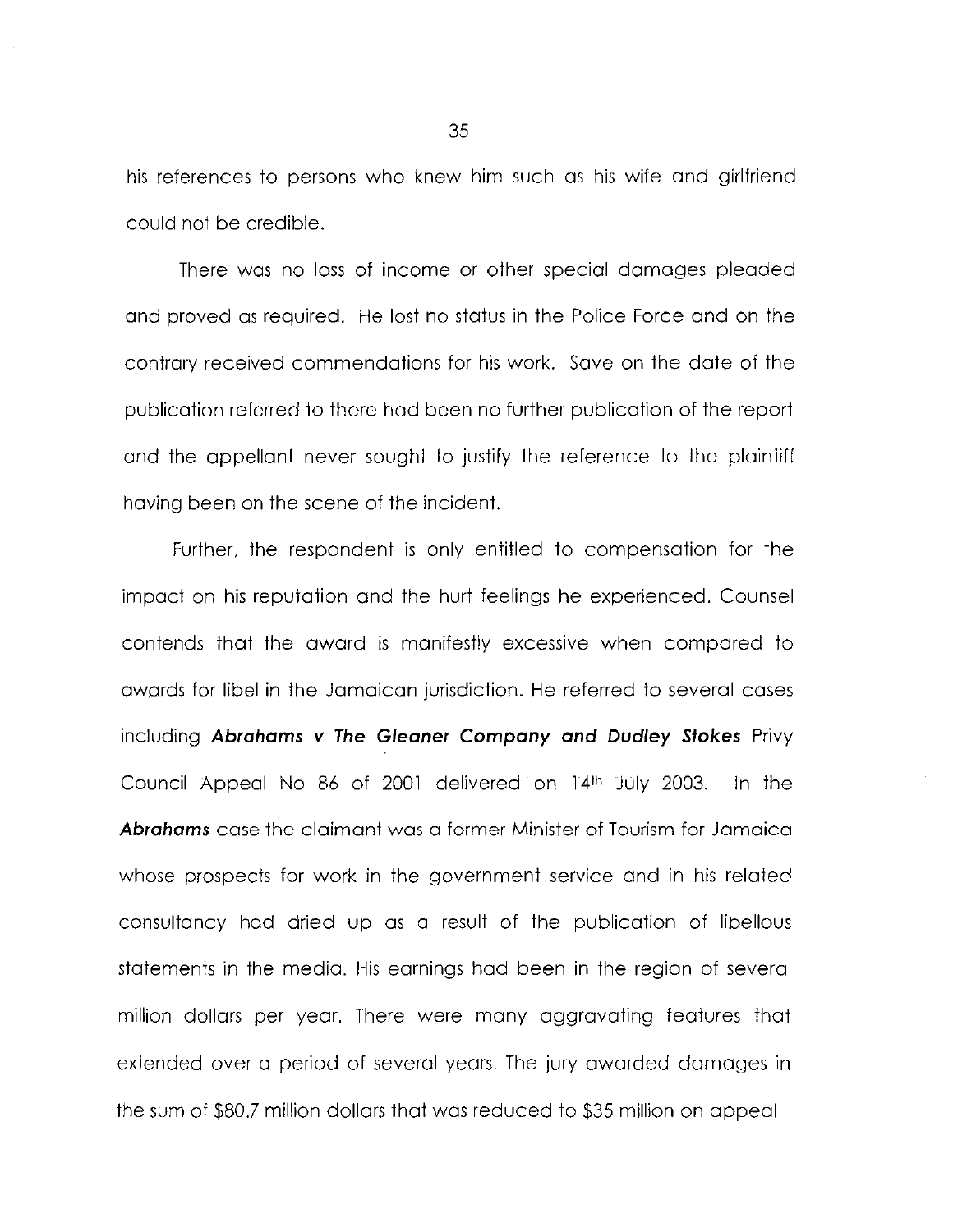his references to persons who knew him such as his wife and girlfriend could not be credible.

There was no loss of income or other special damages pleaded and proved as required. He lost no status in the Police Force and on the contrary received commendations for his work. Save on the date of the publication referred to there had been no further publication of the report and the appellant never sought to justify the reference to the plaintiff having been on the scene of the incident.

Further, the respondent is only entitled to compensation for the impact on his reputation and the hurt feelings he experienced. Counsel contends that the award is manifestly excessive when compared to awards for libel in the Jamaican jurisdiction. He referred to several cases including *Abrahams v The Gleaner Company and Dudley Stokes* Privy Council Appeal No 86 of 2001 delivered on 14th July 2003. In the *Abrahams* case the claimant was a former Minister of Tourism for Jamaica whose prospects for work in the government service and in his related consultancy had dried up as a result of the publication of libellous statements in the media. His earnings had been in the region of several million dollars per year. There were many aggravating features that extended over a period of several years. The jury awarded damages in the sum of \$80.7 million dollars that was reduced to \$35 million on appeal